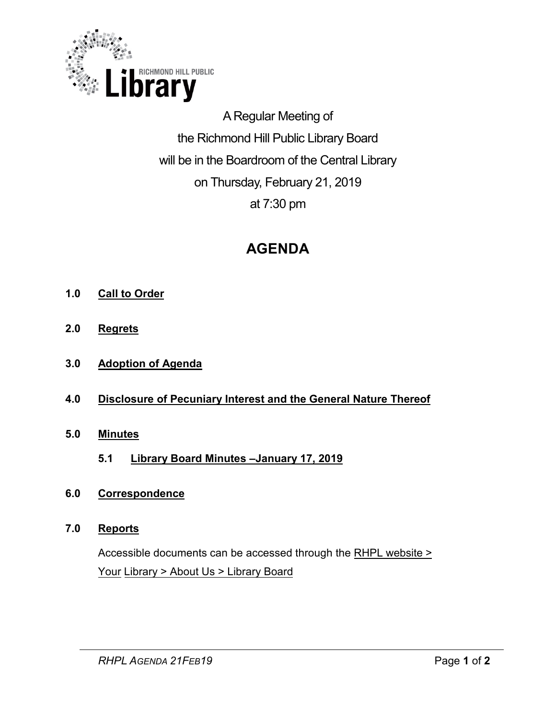

A Regular Meeting of the Richmond Hill Public Library Board will be in the Boardroom of the Central Library on Thursday, February 21, 2019 at 7:30 pm

# **AGENDA**

- **1.0 Call to Order**
- **2.0 Regrets**
- **3.0 Adoption of Agenda**
- **4.0 Disclosure of Pecuniary Interest and the General Nature Thereof**
- **5.0 [Minutes](#page-2-0)** 
	- **5.1 [Library Board Minutes –January 17, 2019](#page-2-0)**
- **6.0 [Correspondence](#page-9-0)**

#### **7.0 Reports**

Accessible documents can be accessed through the RHPL [website >](https://www.rhpl.ca/your-library/about-us/library-board)  Your Library > [About Us](https://www.rhpl.ca/your-library/about-us/library-board) > Library Board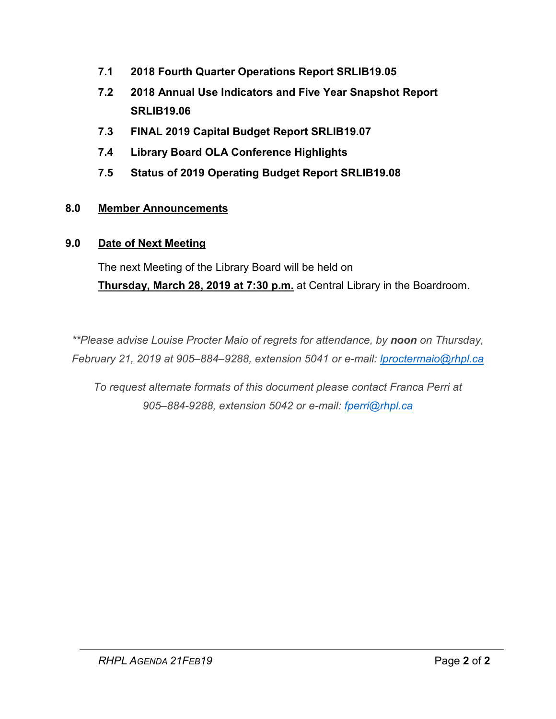- **7.1 [2018 Fourth Quarter Operations Report SRLIB19.05](#page-10-0)**
- **7.2 2018 Annual Use Indicators [and Five Year Snapshot Report](#page-18-0) SRLIB19.06**
- **7.3 FINAL [2019 Capital Budget Report SRLIB19.07](#page-29-0)**
- **7.4 Library Board OLA Conference Highlights**
- **7.5 Status of 2019 Operating Budget Report SRLIB19.08**

#### **8.0 Member Announcements**

#### **9.0 Date of Next Meeting**

The next Meeting of the Library Board will be held on **Thursday, March 28, 2019 at 7:30 p.m.** at Central Library in the Boardroom.

*\*\*Please advise Louise Procter Maio of regrets for attendance, by noon on Thursday, February 21, 2019 at 905–884–9288, extension 5041 or e-mail: lproctermaio@rhpl.ca*

*To request alternate formats of this document please contact Franca Perri at 905–884-9288, extension 5042 or e-mail: [fperri@rhpl.ca](mailto:fperri@rhpl.ca)*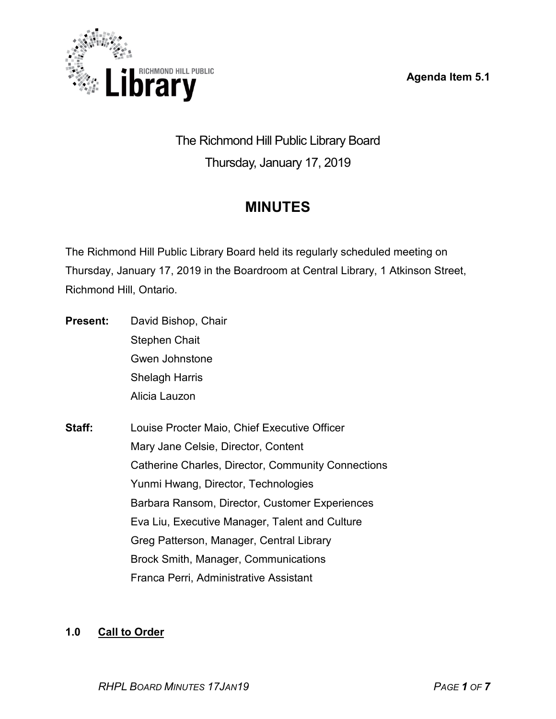**Agenda Item 5.1** 

<span id="page-2-0"></span>

The Richmond Hill Public Library Board Thursday, January 17, 2019

# **MINUTES**

The Richmond Hill Public Library Board held its regularly scheduled meeting on Thursday, January 17, 2019 in the Boardroom at Central Library, 1 Atkinson Street, Richmond Hill, Ontario.

- **Present:** David Bishop, Chair Stephen Chait Gwen Johnstone Shelagh Harris Alicia Lauzon
- **Staff:** Louise Procter Maio, Chief Executive Officer Mary Jane Celsie, Director, Content Catherine Charles, Director, Community Connections Yunmi Hwang, Director, Technologies Barbara Ransom, Director, Customer Experiences Eva Liu, Executive Manager, Talent and Culture Greg Patterson, Manager, Central Library Brock Smith, Manager, Communications Franca Perri, Administrative Assistant

#### **1.0 Call to Order**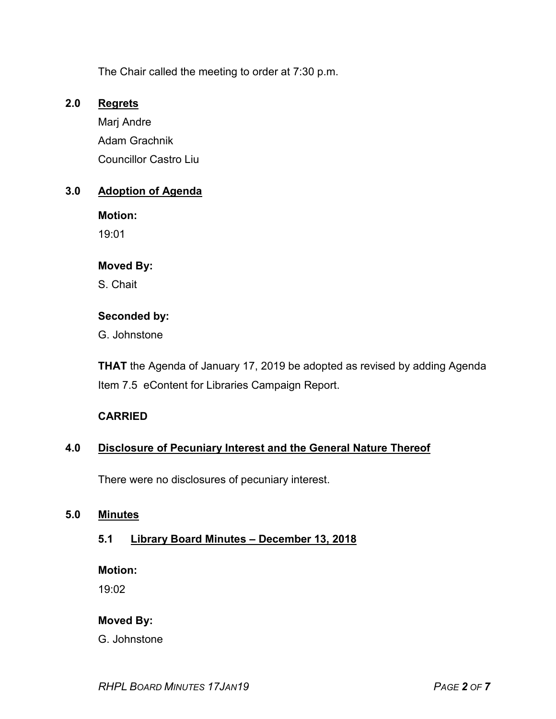The Chair called the meeting to order at 7:30 p.m.

#### **2.0 Regrets**

Marj Andre Adam Grachnik Councillor Castro Liu

#### **3.0 Adoption of Agenda**

**Motion:**  19:01

#### **Moved By:**

S. Chait

#### **Seconded by:**

G. Johnstone

**THAT** the Agenda of January 17, 2019 be adopted as revised by adding Agenda Item 7.5 eContent for Libraries Campaign Report.

#### **CARRIED**

#### **4.0 Disclosure of Pecuniary Interest and the General Nature Thereof**

There were no disclosures of pecuniary interest.

#### **5.0 Minutes**

#### **5.1 Library Board Minutes – December 13, 2018**

**Motion:** 

19:02

#### **Moved By:**

G. Johnstone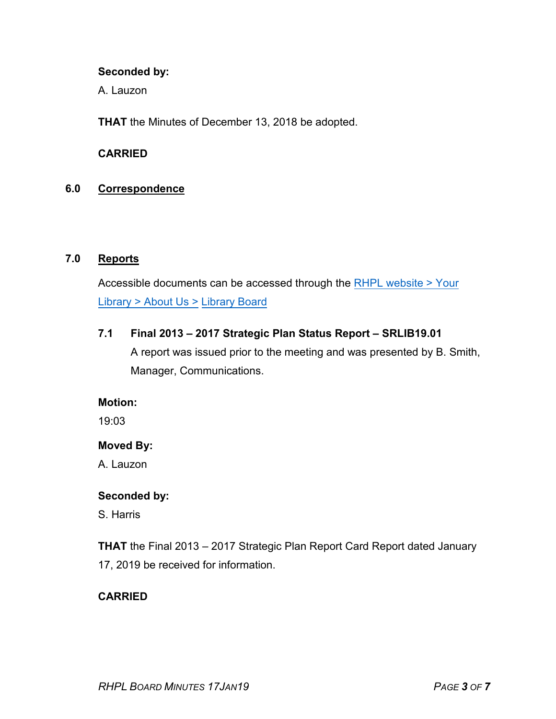#### **Seconded by:**

A. Lauzon

**THAT** the Minutes of December 13, 2018 be adopted.

#### **CARRIED**

#### **6.0 Correspondence**

#### **7.0 Reports**

Accessible documents can be accessed through th[e RHPL website >](https://www.rhpl.ca/your-library/about-us/library-board) Your [Library >](https://www.rhpl.ca/your-library/about-us/library-board) About Us > Library Board

#### **7.1 Final 2013 – 2017 Strategic Plan Status Report – SRLIB19.01**

A report was issued prior to the meeting and was presented by B. Smith, Manager, Communications.

#### **Motion:**

19:03

#### **Moved By:**

A. Lauzon

#### **Seconded by:**

S. Harris

**THAT** the Final 2013 – 2017 Strategic Plan Report Card Report dated January 17, 2019 be received for information.

#### **CARRIED**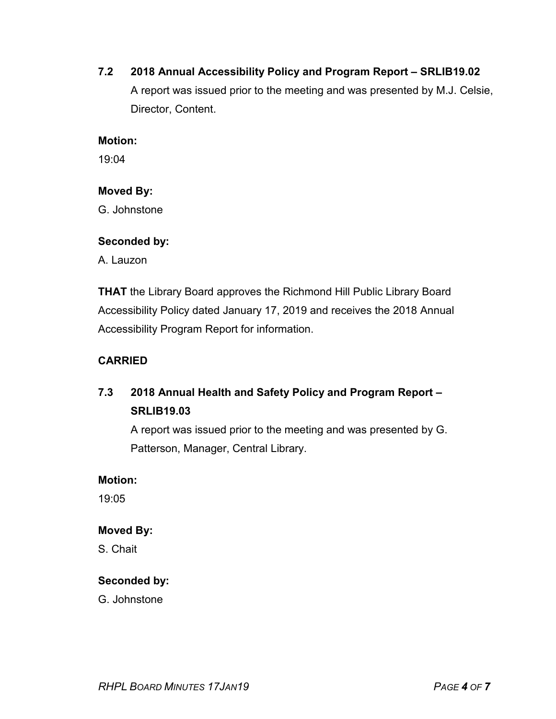#### **7.2 2018 Annual Accessibility Policy and Program Report – SRLIB19.02**

A report was issued prior to the meeting and was presented by M.J. Celsie, Director, Content.

#### **Motion:**

19:04

#### **Moved By:**

G. Johnstone

#### **Seconded by:**

A. Lauzon

**THAT** the Library Board approves the Richmond Hill Public Library Board Accessibility Policy dated January 17, 2019 and receives the 2018 Annual Accessibility Program Report for information.

#### **CARRIED**

### **7.3 2018 Annual Health and Safety Policy and Program Report – SRLIB19.03**

A report was issued prior to the meeting and was presented by G. Patterson, Manager, Central Library.

#### **Motion:**

19:05

#### **Moved By:**

S. Chait

#### **Seconded by:**

G. Johnstone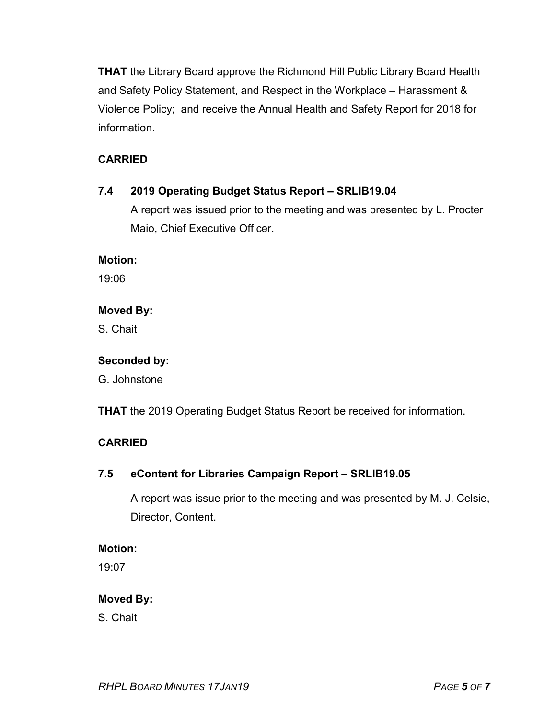**THAT** the Library Board approve the Richmond Hill Public Library Board Health and Safety Policy Statement, and Respect in the Workplace – Harassment & Violence Policy; and receive the Annual Health and Safety Report for 2018 for information.

#### **CARRIED**

#### **7.4 2019 Operating Budget Status Report – SRLIB19.04**

A report was issued prior to the meeting and was presented by L. Procter Maio, Chief Executive Officer.

#### **Motion:**

19:06

#### **Moved By:**

S. Chait

#### **Seconded by:**

G. Johnstone

**THAT** the 2019 Operating Budget Status Report be received for information.

#### **CARRIED**

#### **7.5 eContent for Libraries Campaign Report – SRLIB19.05**

A report was issue prior to the meeting and was presented by M. J. Celsie, Director, Content.

#### **Motion:**

19:07

#### **Moved By:**

S. Chait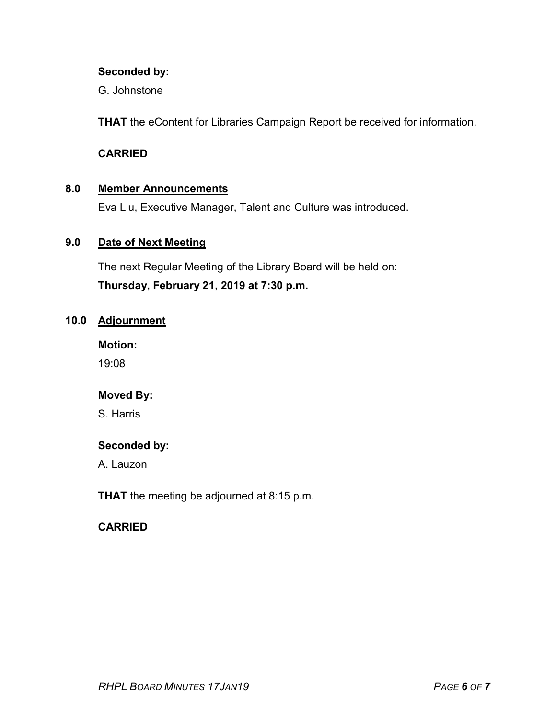#### **Seconded by:**

G. Johnstone

**THAT** the eContent for Libraries Campaign Report be received for information.

#### **CARRIED**

#### **8.0 Member Announcements**

Eva Liu, Executive Manager, Talent and Culture was introduced.

#### **9.0 Date of Next Meeting**

The next Regular Meeting of the Library Board will be held on: **Thursday, February 21, 2019 at 7:30 p.m.**

#### **10.0 Adjournment**

**Motion:** 

19:08

#### **Moved By:**

S. Harris

#### **Seconded by:**

A. Lauzon

**THAT** the meeting be adjourned at 8:15 p.m.

#### **CARRIED**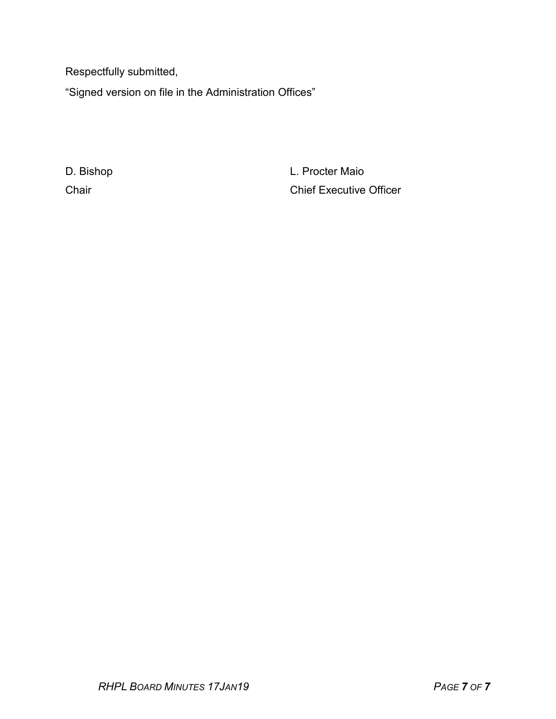Respectfully submitted,

"Signed version on file in the Administration Offices"

D. Bishop **L. Procter Maio** Chair Chair Chair Chief Executive Officer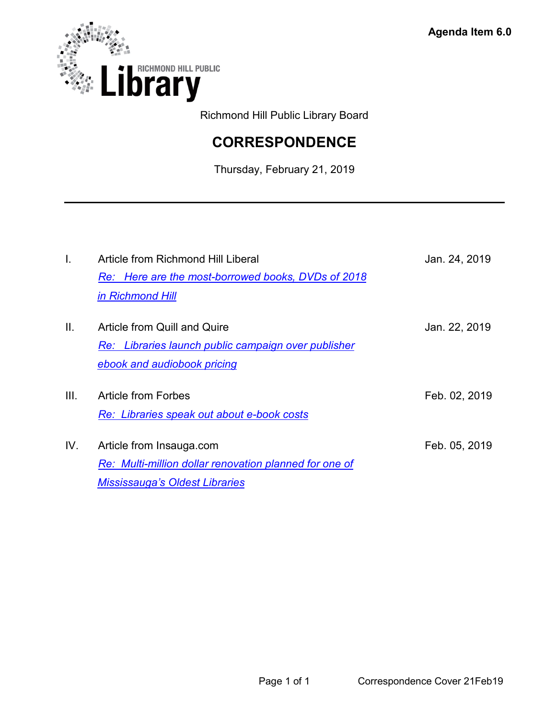<span id="page-9-0"></span>

Richmond Hill Public Library Board

# **CORRESPONDENCE**

Thursday, February 21, 2019

| Article from Richmond Hill Liberal<br>Re: Here are the most-borrowed books, DVDs of 2018 | Jan. 24, 2019                         |
|------------------------------------------------------------------------------------------|---------------------------------------|
| in Richmond Hill                                                                         |                                       |
| Article from Quill and Quire<br>Re: Libraries launch public campaign over publisher      | Jan. 22, 2019                         |
| ebook and audiobook pricing                                                              |                                       |
| Article from Forbes<br>Re: Libraries speak out about e-book costs                        | Feb. 02, 2019                         |
| Article from Insauga.com<br>Re: Multi-million dollar renovation planned for one of       | Feb. 05, 2019                         |
|                                                                                          | <b>Mississauga's Oldest Libraries</b> |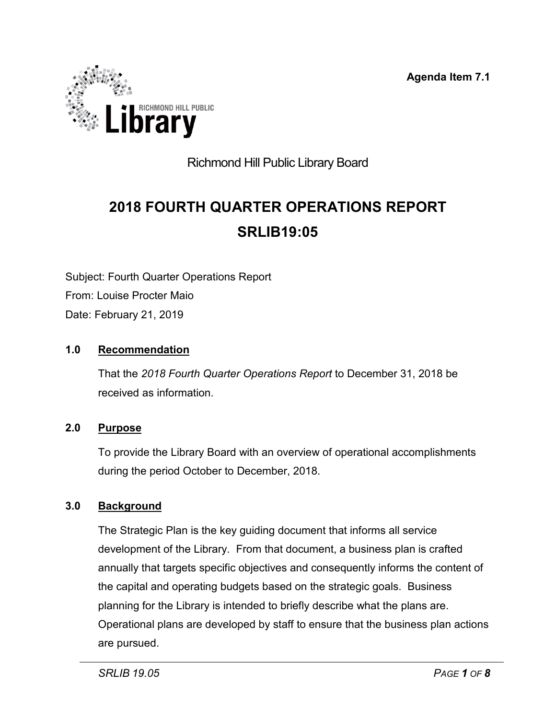**Agenda Item 7.1**

<span id="page-10-0"></span>

## Richmond Hill Public Library Board

# **2018 FOURTH QUARTER OPERATIONS REPORT SRLIB19:05**

Subject: Fourth Quarter Operations Report From: Louise Procter Maio Date: February 21, 2019

#### **1.0 Recommendation**

That the *2018 Fourth Quarter Operations Report* to December 31, 2018 be received as information.

#### **2.0 Purpose**

To provide the Library Board with an overview of operational accomplishments during the period October to December, 2018.

#### **3.0 Background**

The Strategic Plan is the key guiding document that informs all service development of the Library. From that document, a business plan is crafted annually that targets specific objectives and consequently informs the content of the capital and operating budgets based on the strategic goals. Business planning for the Library is intended to briefly describe what the plans are. Operational plans are developed by staff to ensure that the business plan actions are pursued.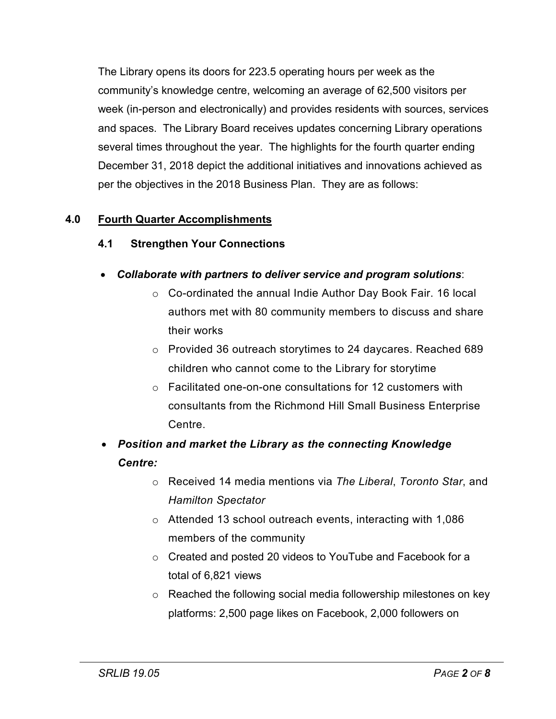The Library opens its doors for 223.5 operating hours per week as the community's knowledge centre, welcoming an average of 62,500 visitors per week (in-person and electronically) and provides residents with sources, services and spaces. The Library Board receives updates concerning Library operations several times throughout the year. The highlights for the fourth quarter ending December 31, 2018 depict the additional initiatives and innovations achieved as per the objectives in the 2018 Business Plan. They are as follows:

#### **4.0 Fourth Quarter Accomplishments**

#### **4.1 Strengthen Your Connections**

- *Collaborate with partners to deliver service and program solutions*:
	- o Co-ordinated the annual Indie Author Day Book Fair. 16 local authors met with 80 community members to discuss and share their works
	- o Provided 36 outreach storytimes to 24 daycares. Reached 689 children who cannot come to the Library for storytime
	- o Facilitated one-on-one consultations for 12 customers with consultants from the Richmond Hill Small Business Enterprise Centre.

## • *Position and market the Library as the connecting Knowledge Centre:*

- o Received 14 media mentions via *The Liberal*, *Toronto Star*, and *Hamilton Spectator*
- o Attended 13 school outreach events, interacting with 1,086 members of the community
- o Created and posted 20 videos to YouTube and Facebook for a total of 6,821 views
- o Reached the following social media followership milestones on key platforms: 2,500 page likes on Facebook, 2,000 followers on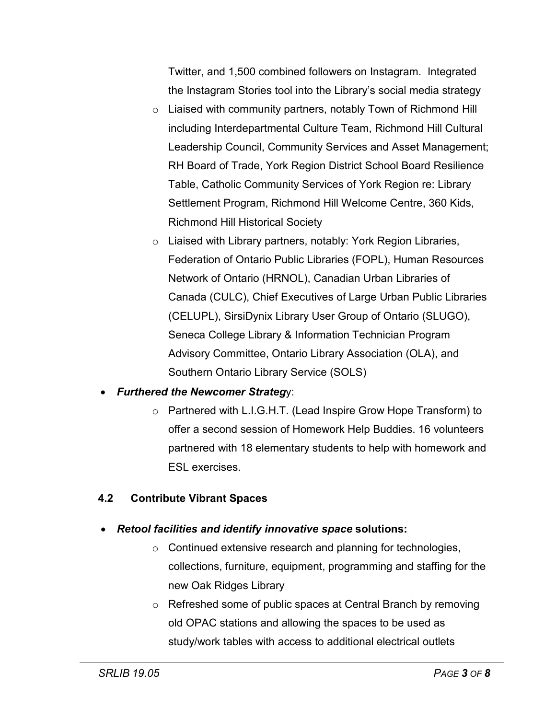Twitter, and 1,500 combined followers on Instagram. Integrated the Instagram Stories tool into the Library's social media strategy

- o Liaised with community partners, notably Town of Richmond Hill including Interdepartmental Culture Team, Richmond Hill Cultural Leadership Council, Community Services and Asset Management; RH Board of Trade, York Region District School Board Resilience Table, Catholic Community Services of York Region re: Library Settlement Program, Richmond Hill Welcome Centre, 360 Kids, Richmond Hill Historical Society
- o Liaised with Library partners, notably: York Region Libraries, Federation of Ontario Public Libraries (FOPL), Human Resources Network of Ontario (HRNOL), Canadian Urban Libraries of Canada (CULC), Chief Executives of Large Urban Public Libraries (CELUPL), SirsiDynix Library User Group of Ontario (SLUGO), Seneca College Library & Information Technician Program Advisory Committee, Ontario Library Association (OLA), and Southern Ontario Library Service (SOLS)

#### • *Furthered the Newcomer Strateg*y:

o Partnered with L.I.G.H.T. (Lead Inspire Grow Hope Transform) to offer a second session of Homework Help Buddies. 16 volunteers partnered with 18 elementary students to help with homework and ESL exercises.

#### **4.2 Contribute Vibrant Spaces**

#### • *Retool facilities and identify innovative space* **solutions:**

- o Continued extensive research and planning for technologies, collections, furniture, equipment, programming and staffing for the new Oak Ridges Library
- o Refreshed some of public spaces at Central Branch by removing old OPAC stations and allowing the spaces to be used as study/work tables with access to additional electrical outlets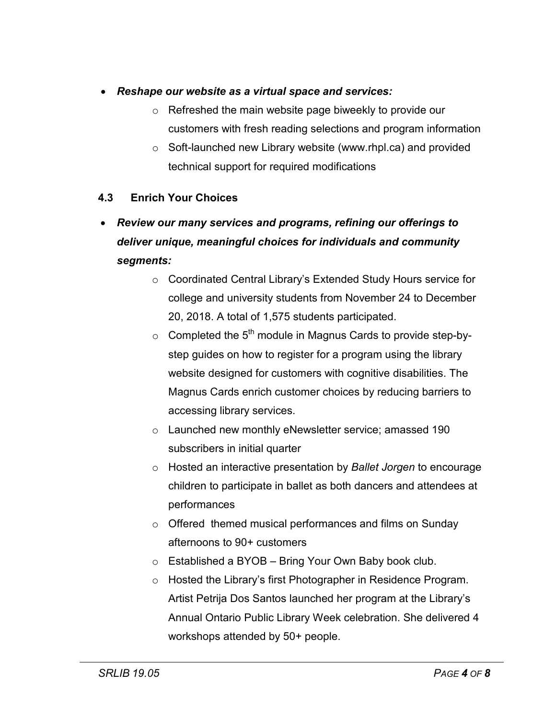- *Reshape our website as a virtual space and services:*
	- o Refreshed the main website page biweekly to provide our customers with fresh reading selections and program information
	- o Soft-launched new Library website (www.rhpl.ca) and provided technical support for required modifications

#### **4.3 Enrich Your Choices**

## • *Review our many services and programs, refining our offerings to deliver unique, meaningful choices for individuals and community segments:*

- o Coordinated Central Library's Extended Study Hours service for college and university students from November 24 to December 20, 2018. A total of 1,575 students participated.
- $\circ$  Completed the 5<sup>th</sup> module in Magnus Cards to provide step-bystep guides on how to register for a program using the library website designed for customers with cognitive disabilities. The Magnus Cards enrich customer choices by reducing barriers to accessing library services.
- o Launched new monthly eNewsletter service; amassed 190 subscribers in initial quarter
- o Hosted an interactive presentation by *Ballet Jorgen* to encourage children to participate in ballet as both dancers and attendees at performances
- o Offered themed musical performances and films on Sunday afternoons to 90+ customers
- $\circ$  Established a BYOB Bring Your Own Baby book club.
- o Hosted the Library's first Photographer in Residence Program. Artist Petrija Dos Santos launched her program at the Library's Annual Ontario Public Library Week celebration. She delivered 4 workshops attended by 50+ people.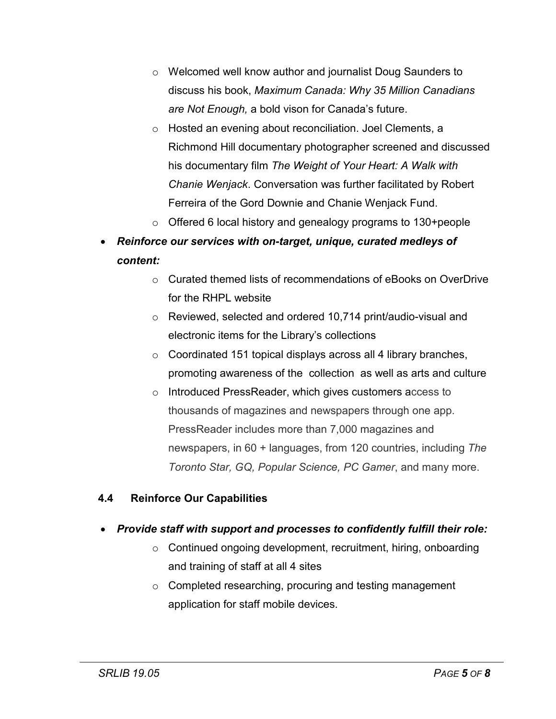- o Welcomed well know author and journalist Doug Saunders to discuss his book, *Maximum Canada: Why 35 Million Canadians are Not Enough,* a bold vison for Canada's future.
- o Hosted an evening about reconciliation. Joel Clements, a Richmond Hill documentary photographer screened and discussed his documentary film *The Weight of Your Heart: A Walk with Chanie Wenjack*. Conversation was further facilitated by Robert Ferreira of the Gord Downie and Chanie Wenjack Fund.
- o Offered 6 local history and genealogy programs to 130+people
- *Reinforce our services with on-target, unique, curated medleys of content:* 
	- $\circ$  Curated themed lists of recommendations of eBooks on OverDrive for the RHPL website
	- o Reviewed, selected and ordered 10,714 print/audio-visual and electronic items for the Library's collections
	- $\circ$  Coordinated 151 topical displays across all 4 library branches, promoting awareness of the collection as well as arts and culture
	- o Introduced PressReader, which gives customers access to thousands of magazines and newspapers through one app. PressReader includes more than 7,000 magazines and newspapers, in 60 + languages, from 120 countries, including *The Toronto Star, GQ, Popular Science, PC Gamer*, and many more.

#### **4.4 Reinforce Our Capabilities**

#### • *Provide staff with support and processes to confidently fulfill their role:*

- o Continued ongoing development, recruitment, hiring, onboarding and training of staff at all 4 sites
- o Completed researching, procuring and testing management application for staff mobile devices.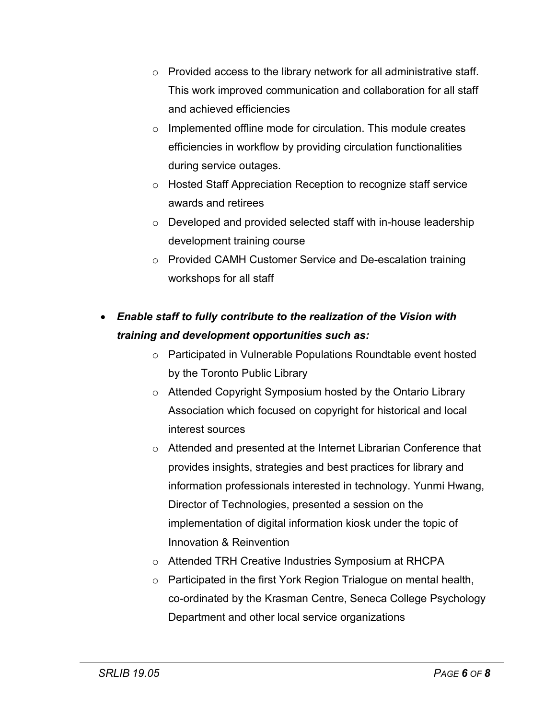- $\circ$  Provided access to the library network for all administrative staff. This work improved communication and collaboration for all staff and achieved efficiencies
- o Implemented offline mode for circulation. This module creates efficiencies in workflow by providing circulation functionalities during service outages.
- o Hosted Staff Appreciation Reception to recognize staff service awards and retirees
- o Developed and provided selected staff with in-house leadership development training course
- o Provided CAMH Customer Service and De-escalation training workshops for all staff

## • *Enable staff to fully contribute to the realization of the Vision with training and development opportunities such as:*

- o Participated in Vulnerable Populations Roundtable event hosted by the Toronto Public Library
- o Attended Copyright Symposium hosted by the Ontario Library Association which focused on copyright for historical and local interest sources
- o Attended and presented at the Internet Librarian Conference that provides insights, strategies and best practices for library and information professionals interested in technology. Yunmi Hwang, Director of Technologies, presented a session on the implementation of digital information kiosk under the topic of Innovation & Reinvention
- o Attended TRH Creative Industries Symposium at RHCPA
- o Participated in the first York Region Trialogue on mental health, co-ordinated by the Krasman Centre, Seneca College Psychology Department and other local service organizations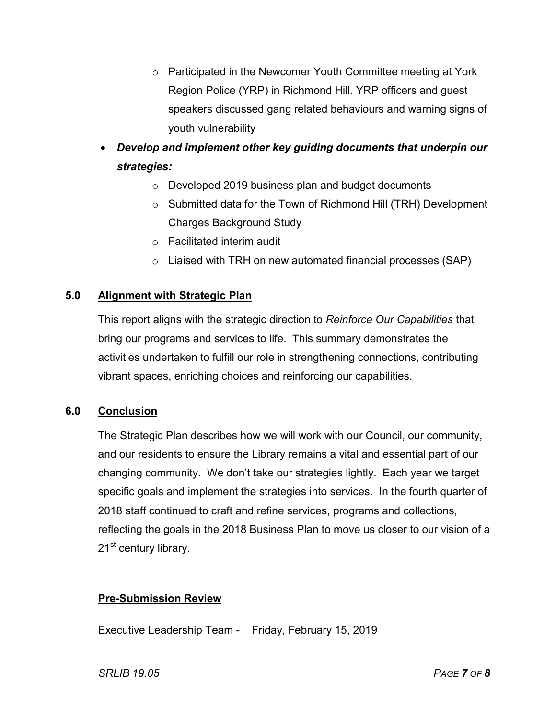- o Participated in the Newcomer Youth Committee meeting at York Region Police (YRP) in Richmond Hill. YRP officers and guest speakers discussed gang related behaviours and warning signs of youth vulnerability
- *Develop and implement other key guiding documents that underpin our strategies:*
	- o Developed 2019 business plan and budget documents
	- o Submitted data for the Town of Richmond Hill (TRH) Development Charges Background Study
	- o Facilitated interim audit
	- $\circ$  Liaised with TRH on new automated financial processes (SAP)

#### **5.0 Alignment with Strategic Plan**

This report aligns with the strategic direction to *Reinforce Our Capabilities* that bring our programs and services to life. This summary demonstrates the activities undertaken to fulfill our role in strengthening connections, contributing vibrant spaces, enriching choices and reinforcing our capabilities.

#### **6.0 Conclusion**

The Strategic Plan describes how we will work with our Council, our community, and our residents to ensure the Library remains a vital and essential part of our changing community. We don't take our strategies lightly. Each year we target specific goals and implement the strategies into services. In the fourth quarter of 2018 staff continued to craft and refine services, programs and collections, reflecting the goals in the 2018 Business Plan to move us closer to our vision of a 21<sup>st</sup> century library.

#### **Pre-Submission Review**

Executive Leadership Team - Friday, February 15, 2019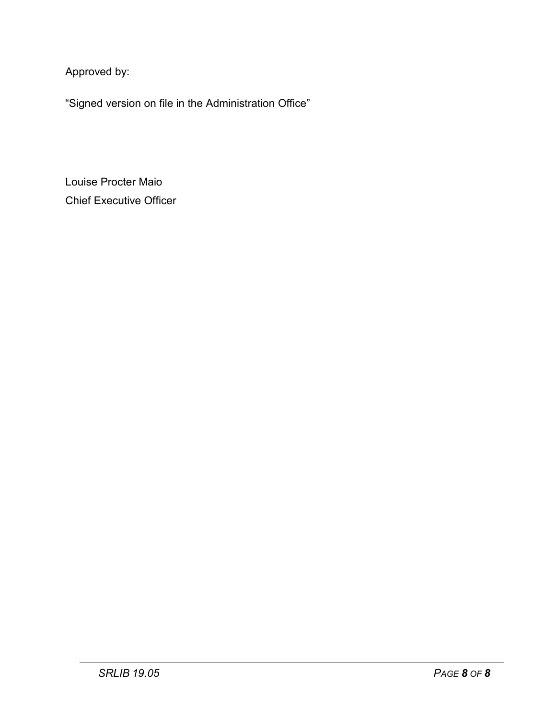Approved by:

"Signed version on file in the Administration Office"

Louise Procter Maio Chief Executive Officer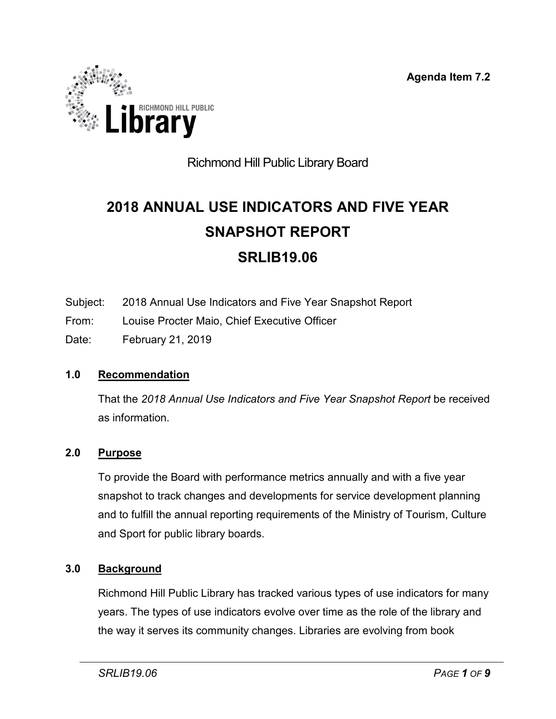**Agenda Item 7.2**

<span id="page-18-0"></span>

## Richmond Hill Public Library Board

# **2018 ANNUAL USE INDICATORS AND FIVE YEAR SNAPSHOT REPORT SRLIB19.06**

- Subject: 2018 Annual Use Indicators and Five Year Snapshot Report
- From: Louise Procter Maio, Chief Executive Officer
- Date: February 21, 2019

#### **1.0 Recommendation**

That the *2018 Annual Use Indicators and Five Year Snapshot Report* be received as information.

#### **2.0 Purpose**

To provide the Board with performance metrics annually and with a five year snapshot to track changes and developments for service development planning and to fulfill the annual reporting requirements of the Ministry of Tourism, Culture and Sport for public library boards.

#### **3.0 Background**

Richmond Hill Public Library has tracked various types of use indicators for many years. The types of use indicators evolve over time as the role of the library and the way it serves its community changes. Libraries are evolving from book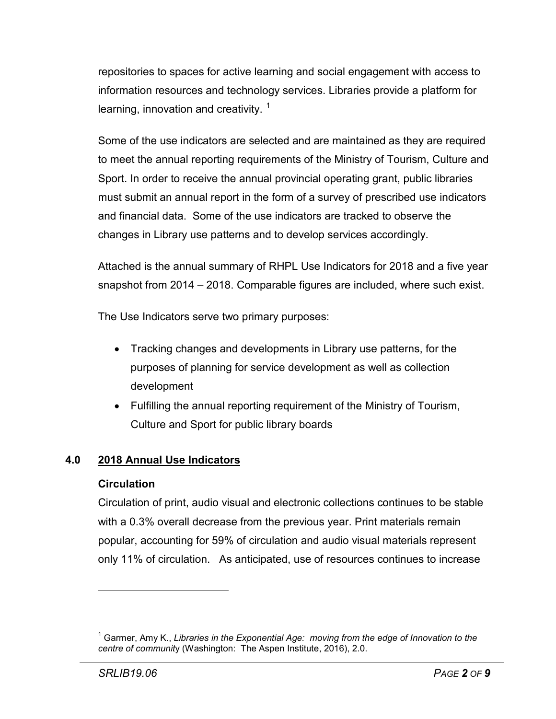repositories to spaces for active learning and social engagement with access to information resources and technology services. Libraries provide a platform for learning, innovation and creativity.  $\frac{1}{1}$  $\frac{1}{1}$  $\frac{1}{1}$ 

Some of the use indicators are selected and are maintained as they are required to meet the annual reporting requirements of the Ministry of Tourism, Culture and Sport. In order to receive the annual provincial operating grant, public libraries must submit an annual report in the form of a survey of prescribed use indicators and financial data. Some of the use indicators are tracked to observe the changes in Library use patterns and to develop services accordingly.

Attached is the annual summary of RHPL Use Indicators for 2018 and a five year snapshot from 2014 – 2018. Comparable figures are included, where such exist.

The Use Indicators serve two primary purposes:

- Tracking changes and developments in Library use patterns, for the purposes of planning for service development as well as collection development
- Fulfilling the annual reporting requirement of the Ministry of Tourism, Culture and Sport for public library boards

#### **4.0 2018 Annual Use Indicators**

#### **Circulation**

Circulation of print, audio visual and electronic collections continues to be stable with a 0.3% overall decrease from the previous year. Print materials remain popular, accounting for 59% of circulation and audio visual materials represent only 11% of circulation. As anticipated, use of resources continues to increase

 $\overline{a}$ 

<span id="page-19-0"></span><sup>1</sup> Garmer, Amy K., *Libraries in the Exponential Age: moving from the edge of Innovation to the centre of communit*y (Washington: The Aspen Institute, 2016), 2.0.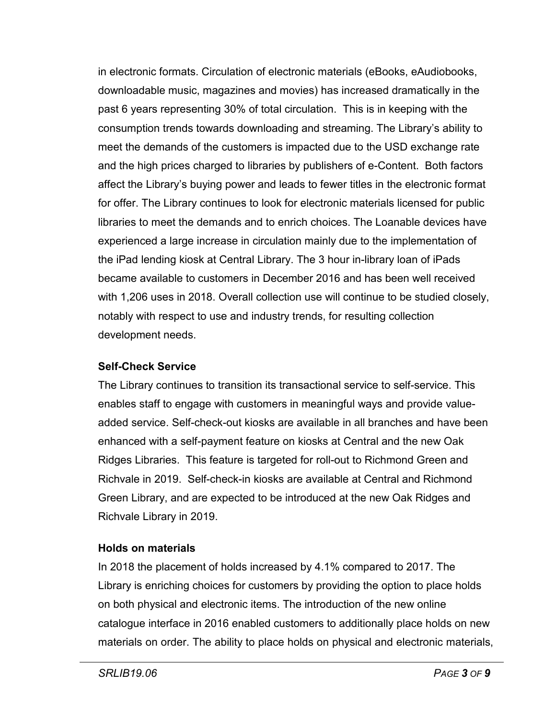in electronic formats. Circulation of electronic materials (eBooks, eAudiobooks, downloadable music, magazines and movies) has increased dramatically in the past 6 years representing 30% of total circulation. This is in keeping with the consumption trends towards downloading and streaming. The Library's ability to meet the demands of the customers is impacted due to the USD exchange rate and the high prices charged to libraries by publishers of e-Content. Both factors affect the Library's buying power and leads to fewer titles in the electronic format for offer. The Library continues to look for electronic materials licensed for public libraries to meet the demands and to enrich choices. The Loanable devices have experienced a large increase in circulation mainly due to the implementation of the iPad lending kiosk at Central Library. The 3 hour in-library loan of iPads became available to customers in December 2016 and has been well received with 1,206 uses in 2018. Overall collection use will continue to be studied closely, notably with respect to use and industry trends, for resulting collection development needs.

#### **Self-Check Service**

The Library continues to transition its transactional service to self-service. This enables staff to engage with customers in meaningful ways and provide valueadded service. Self-check-out kiosks are available in all branches and have been enhanced with a self-payment feature on kiosks at Central and the new Oak Ridges Libraries. This feature is targeted for roll-out to Richmond Green and Richvale in 2019. Self-check-in kiosks are available at Central and Richmond Green Library, and are expected to be introduced at the new Oak Ridges and Richvale Library in 2019.

#### **Holds on materials**

In 2018 the placement of holds increased by 4.1% compared to 2017. The Library is enriching choices for customers by providing the option to place holds on both physical and electronic items. The introduction of the new online catalogue interface in 2016 enabled customers to additionally place holds on new materials on order. The ability to place holds on physical and electronic materials,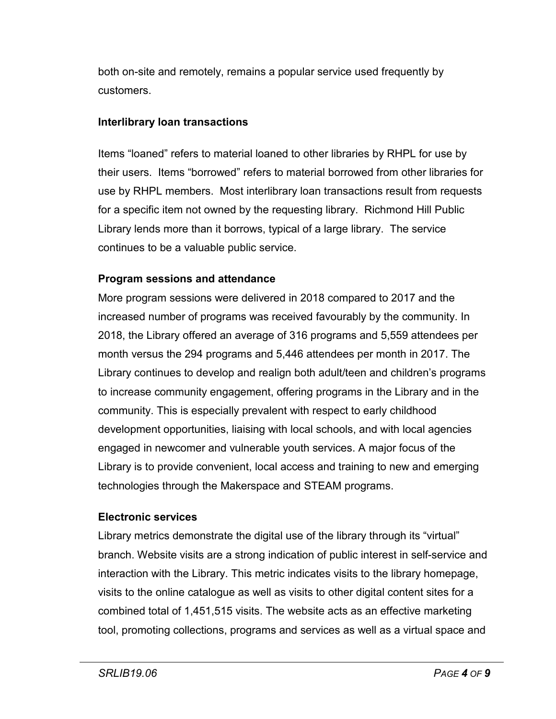both on-site and remotely, remains a popular service used frequently by customers.

#### **Interlibrary loan transactions**

Items "loaned" refers to material loaned to other libraries by RHPL for use by their users. Items "borrowed" refers to material borrowed from other libraries for use by RHPL members. Most interlibrary loan transactions result from requests for a specific item not owned by the requesting library. Richmond Hill Public Library lends more than it borrows, typical of a large library. The service continues to be a valuable public service.

#### **Program sessions and attendance**

More program sessions were delivered in 2018 compared to 2017 and the increased number of programs was received favourably by the community. In 2018, the Library offered an average of 316 programs and 5,559 attendees per month versus the 294 programs and 5,446 attendees per month in 2017. The Library continues to develop and realign both adult/teen and children's programs to increase community engagement, offering programs in the Library and in the community. This is especially prevalent with respect to early childhood development opportunities, liaising with local schools, and with local agencies engaged in newcomer and vulnerable youth services. A major focus of the Library is to provide convenient, local access and training to new and emerging technologies through the Makerspace and STEAM programs.

#### **Electronic services**

Library metrics demonstrate the digital use of the library through its "virtual" branch. Website visits are a strong indication of public interest in self-service and interaction with the Library. This metric indicates visits to the library homepage, visits to the online catalogue as well as visits to other digital content sites for a combined total of 1,451,515 visits. The website acts as an effective marketing tool, promoting collections, programs and services as well as a virtual space and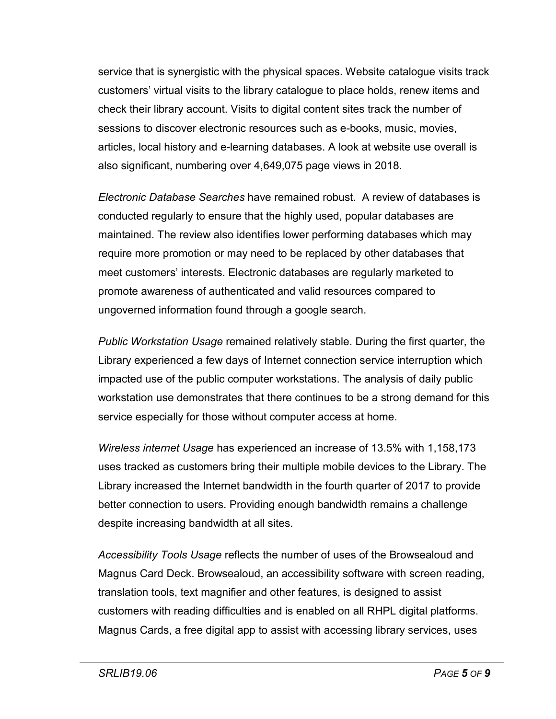service that is synergistic with the physical spaces. Website catalogue visits track customers' virtual visits to the library catalogue to place holds, renew items and check their library account. Visits to digital content sites track the number of sessions to discover electronic resources such as e-books, music, movies, articles, local history and e-learning databases. A look at website use overall is also significant, numbering over 4,649,075 page views in 2018.

*Electronic Database Searches* have remained robust. A review of databases is conducted regularly to ensure that the highly used, popular databases are maintained. The review also identifies lower performing databases which may require more promotion or may need to be replaced by other databases that meet customers' interests. Electronic databases are regularly marketed to promote awareness of authenticated and valid resources compared to ungoverned information found through a google search.

*Public Workstation Usage* remained relatively stable. During the first quarter, the Library experienced a few days of Internet connection service interruption which impacted use of the public computer workstations. The analysis of daily public workstation use demonstrates that there continues to be a strong demand for this service especially for those without computer access at home.

*Wireless internet Usage* has experienced an increase of 13.5% with 1,158,173 uses tracked as customers bring their multiple mobile devices to the Library. The Library increased the Internet bandwidth in the fourth quarter of 2017 to provide better connection to users. Providing enough bandwidth remains a challenge despite increasing bandwidth at all sites.

*Accessibility Tools Usage* reflects the number of uses of the Browsealoud and Magnus Card Deck. Browsealoud, an accessibility software with screen reading, translation tools, text magnifier and other features, is designed to assist customers with reading difficulties and is enabled on all RHPL digital platforms. Magnus Cards, a free digital app to assist with accessing library services, uses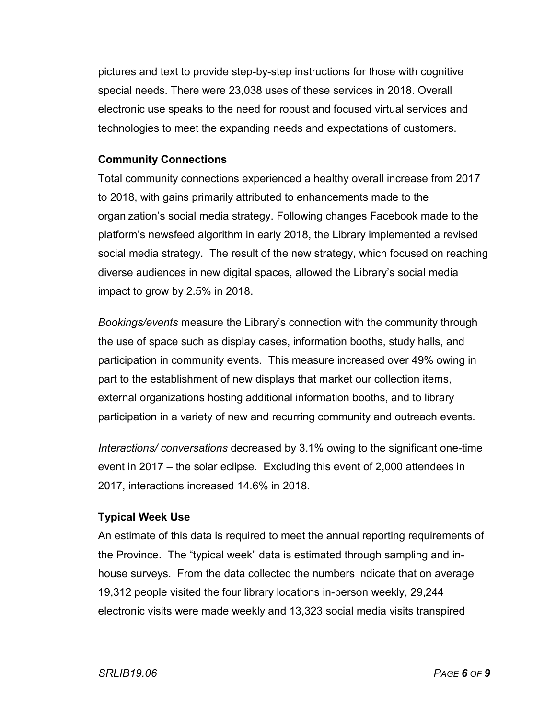pictures and text to provide step-by-step instructions for those with cognitive special needs. There were 23,038 uses of these services in 2018. Overall electronic use speaks to the need for robust and focused virtual services and technologies to meet the expanding needs and expectations of customers.

#### **Community Connections**

Total community connections experienced a healthy overall increase from 2017 to 2018, with gains primarily attributed to enhancements made to the organization's social media strategy. Following changes Facebook made to the platform's newsfeed algorithm in early 2018, the Library implemented a revised social media strategy. The result of the new strategy, which focused on reaching diverse audiences in new digital spaces, allowed the Library's social media impact to grow by 2.5% in 2018.

*Bookings/events* measure the Library's connection with the community through the use of space such as display cases, information booths, study halls, and participation in community events. This measure increased over 49% owing in part to the establishment of new displays that market our collection items, external organizations hosting additional information booths, and to library participation in a variety of new and recurring community and outreach events.

*Interactions/ conversations* decreased by 3.1% owing to the significant one-time event in 2017 – the solar eclipse. Excluding this event of 2,000 attendees in 2017, interactions increased 14.6% in 2018.

#### **Typical Week Use**

An estimate of this data is required to meet the annual reporting requirements of the Province. The "typical week" data is estimated through sampling and inhouse surveys. From the data collected the numbers indicate that on average 19,312 people visited the four library locations in-person weekly, 29,244 electronic visits were made weekly and 13,323 social media visits transpired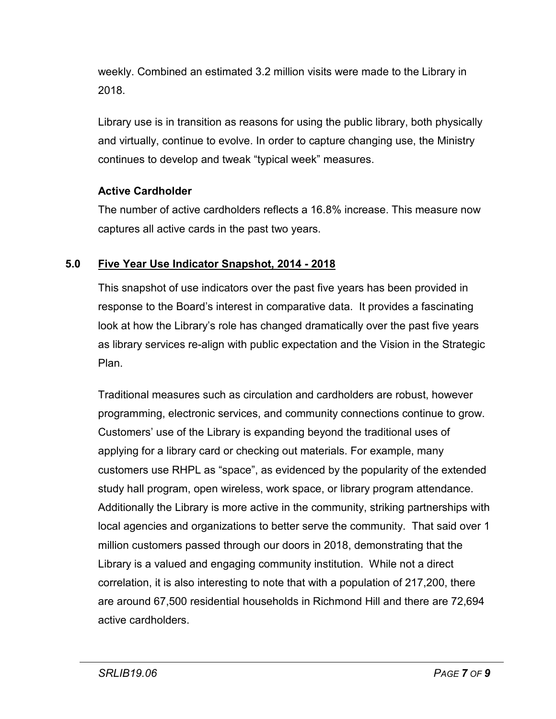weekly. Combined an estimated 3.2 million visits were made to the Library in 2018.

Library use is in transition as reasons for using the public library, both physically and virtually, continue to evolve. In order to capture changing use, the Ministry continues to develop and tweak "typical week" measures.

#### **Active Cardholder**

The number of active cardholders reflects a 16.8% increase. This measure now captures all active cards in the past two years.

#### **5.0 Five Year Use Indicator Snapshot, 2014 - 2018**

This snapshot of use indicators over the past five years has been provided in response to the Board's interest in comparative data. It provides a fascinating look at how the Library's role has changed dramatically over the past five years as library services re-align with public expectation and the Vision in the Strategic Plan.

Traditional measures such as circulation and cardholders are robust, however programming, electronic services, and community connections continue to grow. Customers' use of the Library is expanding beyond the traditional uses of applying for a library card or checking out materials. For example, many customers use RHPL as "space", as evidenced by the popularity of the extended study hall program, open wireless, work space, or library program attendance. Additionally the Library is more active in the community, striking partnerships with local agencies and organizations to better serve the community. That said over 1 million customers passed through our doors in 2018, demonstrating that the Library is a valued and engaging community institution. While not a direct correlation, it is also interesting to note that with a population of 217,200, there are around 67,500 residential households in Richmond Hill and there are 72,694 active cardholders.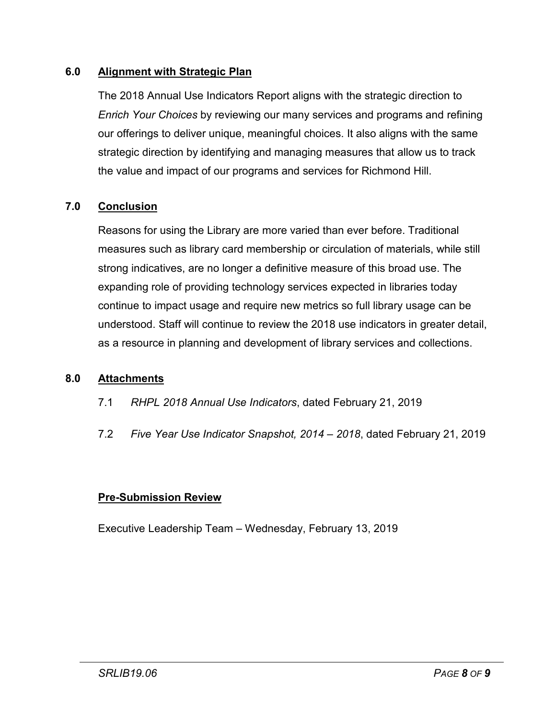#### **6.0 Alignment with Strategic Plan**

The 2018 Annual Use Indicators Report aligns with the strategic direction to *Enrich Your Choices* by reviewing our many services and programs and refining our offerings to deliver unique, meaningful choices. It also aligns with the same strategic direction by identifying and managing measures that allow us to track the value and impact of our programs and services for Richmond Hill.

#### **7.0 Conclusion**

Reasons for using the Library are more varied than ever before. Traditional measures such as library card membership or circulation of materials, while still strong indicatives, are no longer a definitive measure of this broad use. The expanding role of providing technology services expected in libraries today continue to impact usage and require new metrics so full library usage can be understood. Staff will continue to review the 2018 use indicators in greater detail, as a resource in planning and development of library services and collections.

#### **8.0 Attachments**

- 7.1 *RHPL 2018 Annual Use Indicators*, dated February 21, 2019
- 7.2 *Five Year Use Indicator Snapshot, 2014 – 2018*, dated February 21, 2019

#### **Pre-Submission Review**

Executive Leadership Team – Wednesday, February 13, 2019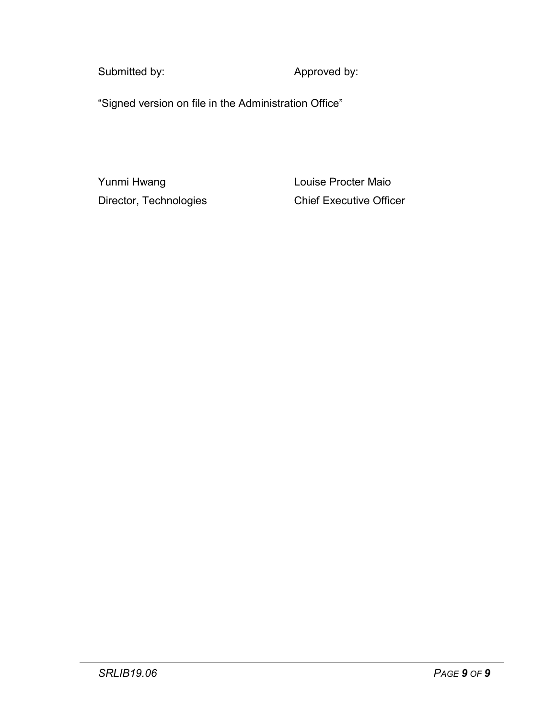Submitted by: <br>
Approved by:

"Signed version on file in the Administration Office"

Yunmi Hwang **Louise Procter Maio** 

Director, Technologies Chief Executive Officer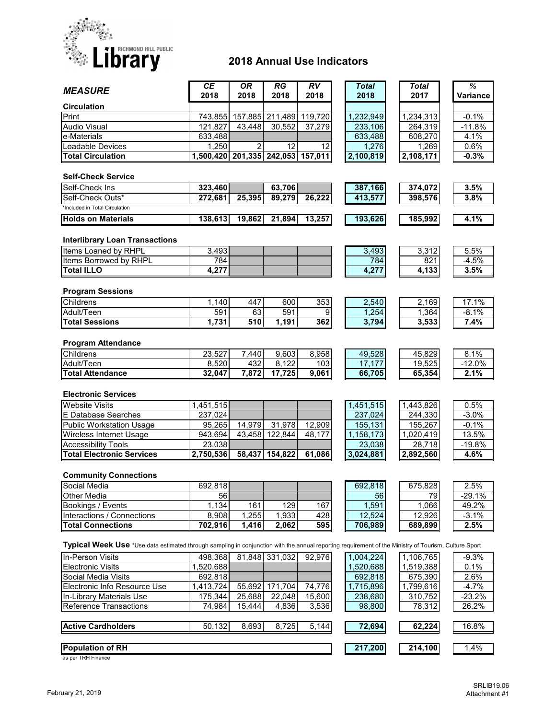

#### **2018 Annual Use Indicators**

| <b>MEASURE</b>                                                                                                                                       | <b>CE</b><br>2018                 | <b>OR</b><br>2018  | RG<br>2018     | <b>RV</b><br>2018 | <b>Total</b><br>2018 | <b>Total</b><br>2017 | %<br><b>Variance</b> |
|------------------------------------------------------------------------------------------------------------------------------------------------------|-----------------------------------|--------------------|----------------|-------------------|----------------------|----------------------|----------------------|
| <b>Circulation</b>                                                                                                                                   |                                   |                    |                |                   |                      |                      |                      |
| Print                                                                                                                                                | 743,855                           | 157,885            | 211,489        | 119,720           | 1,232,949            | 1,234,313            | $-0.1%$              |
| <b>Audio Visual</b>                                                                                                                                  | 121,827                           | 43,448             | 30,552         | 37,279            | 233,106              | 264,319              | $-11.8%$             |
| e-Materials                                                                                                                                          | 633,488                           |                    |                |                   | 633,488              | 608,270              | 4.1%                 |
| Loadable Devices                                                                                                                                     | 1,250                             | 2                  | 12             | 12                | 1,276                | 1,269                | 0.6%                 |
| <b>Total Circulation</b>                                                                                                                             | 1,500,420 201,335 242,053 157,011 |                    |                |                   | 2,100,819            | 2,108,171            | $-0.3%$              |
|                                                                                                                                                      |                                   |                    |                |                   |                      |                      |                      |
| <b>Self-Check Service</b>                                                                                                                            |                                   |                    |                |                   |                      |                      |                      |
| Self-Check Ins                                                                                                                                       | 323,460                           |                    | 63,706         |                   | 387,166              | 374,072              | 3.5%                 |
| Self-Check Outs*                                                                                                                                     | 272,681                           | 25,395             | 89,279         | 26,222            | 413,577              | 398,576              | 3.8%                 |
| *Included in Total Circulation                                                                                                                       |                                   |                    |                |                   |                      |                      |                      |
| <b>Holds on Materials</b>                                                                                                                            | 138,613                           | 19,862             | 21,894         | 13,257            | 193,626              | 185,992              | 4.1%                 |
|                                                                                                                                                      |                                   |                    |                |                   |                      |                      |                      |
| <b>Interlibrary Loan Transactions</b>                                                                                                                |                                   |                    |                |                   |                      |                      |                      |
| Items Loaned by RHPL                                                                                                                                 | 3,493                             |                    |                |                   | 3,493                | 3,312                | 5.5%                 |
| Items Borrowed by RHPL                                                                                                                               | 784                               |                    |                |                   | 784                  | 821                  | $-4.5%$              |
| <b>Total ILLO</b>                                                                                                                                    | 4,277                             |                    |                |                   | 4,277                | 4,133                | 3.5%                 |
|                                                                                                                                                      |                                   |                    |                |                   |                      |                      |                      |
| <b>Program Sessions</b>                                                                                                                              |                                   |                    |                |                   |                      |                      |                      |
| Childrens                                                                                                                                            | 1,140                             | 447                | 600            | 353               | 2,540                | 2,169                | 17.1%                |
| Adult/Teen                                                                                                                                           | 591                               | 63                 | 591            | 9                 | 1,254                | 1,364                | $-8.1%$              |
| <b>Total Sessions</b>                                                                                                                                | 1,731                             | 510                | 1,191          | 362               | 3,794                | 3,533                | 7.4%                 |
| <b>Program Attendance</b>                                                                                                                            |                                   |                    |                |                   |                      |                      |                      |
| Childrens                                                                                                                                            |                                   |                    |                |                   |                      |                      |                      |
|                                                                                                                                                      | 23,527                            | $\overline{7,}440$ | 9,603          | 8,958             | 49,528               | 45,829               | 8.1%                 |
| Adult/Teen                                                                                                                                           | 8,520                             | 432                | 8,122          | 103               | 17,177               | 19,525               | $-12.0%$             |
| <b>Total Attendance</b>                                                                                                                              | 32,047                            | 7,872              | 17,725         | 9,061             | 66,705               | 65,354               | 2.1%                 |
| <b>Electronic Services</b>                                                                                                                           |                                   |                    |                |                   |                      |                      |                      |
| <b>Website Visits</b>                                                                                                                                | 1,451,515                         |                    |                |                   | 1,451,515            | 1,443,826            | 0.5%                 |
| E Database Searches                                                                                                                                  | 237,024                           |                    |                |                   | 237,024              | 244,330              | $-3.0%$              |
| <b>Public Workstation Usage</b>                                                                                                                      | 95,265                            | 14,979             | 31,978         | 12,909            | 155,131              | 155,267              | $-0.1%$              |
| Wireless Internet Usage                                                                                                                              | 943,694                           | 43,458             | 122,844        | 48,177            | 1,158,173            | 1,020,419            | 13.5%                |
| <b>Accessibility Tools</b>                                                                                                                           | 23,038                            |                    |                |                   | 23,038               | 28,718               | $-19.8%$             |
| <b>Total Electronic Services</b>                                                                                                                     | 2,750,536                         | 58,437             | 154,822        | 61,086            | 3,024,881            | 2,892,560            | 4.6%                 |
|                                                                                                                                                      |                                   |                    |                |                   |                      |                      |                      |
| <b>Community Connections</b>                                                                                                                         |                                   |                    |                |                   |                      |                      |                      |
| Social Media                                                                                                                                         | 692,818                           |                    |                |                   | 692,818              | 675,828              | 2.5%                 |
| Other Media                                                                                                                                          | 56                                |                    |                |                   | 56                   | 79                   | $-29.1%$             |
| Bookings / Events                                                                                                                                    | 1,134                             | 161                | 129            | 167               | 1,591                | 1,066                | 49.2%                |
| Interactions / Connections                                                                                                                           | 8,908                             | 1,255              | 1,933          | 428               | 12,524               | 12,926               | $-3.1%$              |
| <b>Total Connections</b>                                                                                                                             | 702,916                           | 1,416              | 2,062          | 595               | 706,989              | 689,899              | 2.5%                 |
| Typical Week Use *Use data estimated through sampling in conjunction with the annual reporting requirement of the Ministry of Tourism, Culture Sport |                                   |                    |                |                   |                      |                      |                      |
|                                                                                                                                                      |                                   |                    |                |                   |                      |                      |                      |
| In-Person Visits                                                                                                                                     | 498,368                           |                    | 81,848 331,032 | 92,976            | 1,004,224            | 1,106,765            | -9.3%                |
| <b>Electronic Visits</b>                                                                                                                             | 1,520,688                         |                    |                |                   | 1,520,688            | 1,519,388            | 0.1%                 |
| Social Media Visits                                                                                                                                  | 692,818                           |                    |                |                   | 692,818              | 675,390              | 2.6%                 |
| Electronic Info Resource Use                                                                                                                         | 1,413,724                         | 55,692             | 171,704        | 74,776            | 1,715,896            | 1,799,616            | $-4.7%$              |
| In-Library Materials Use                                                                                                                             | 175,344                           | 25,688             | 22,048         | 15,600            | 238,680              | 310,752              | $-23.2%$             |
| Reference Transactions                                                                                                                               | 74,984                            | 15,444             | 4,836          | 3,536             | 98,800               | 78,312               | 26.2%                |
| <b>Active Cardholders</b>                                                                                                                            | 50,132                            | 8,693              | 8,725          | 5,144             | 72,694               | 62,224               | 16.8%                |
|                                                                                                                                                      |                                   |                    |                |                   |                      |                      |                      |
| <b>Population of RH</b><br>as nor TRH Finance                                                                                                        |                                   |                    |                |                   | 217,200              | 214,100              | 1.4%                 |

as per TRH Finance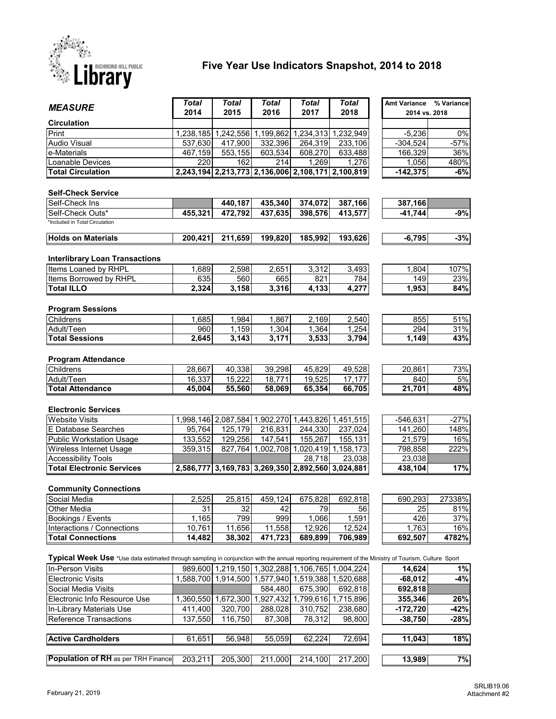

#### **Five Year Use Indicators Snapshot, 2014 to 2018**

| <b>MEASURE</b>                                                                                                                                       | <b>Total</b> | <b>Total</b>        | <b>Total</b>                  | <b>Total</b>                                      | <b>Total</b> | Amt Variance  | % Variance |
|------------------------------------------------------------------------------------------------------------------------------------------------------|--------------|---------------------|-------------------------------|---------------------------------------------------|--------------|---------------|------------|
|                                                                                                                                                      | 2014         | 2015                | 2016                          | 2017                                              | 2018         | 2014 vs. 2018 |            |
| <b>Circulation</b>                                                                                                                                   |              |                     |                               |                                                   |              |               |            |
| Print                                                                                                                                                |              |                     | 1,238,185 1,242,556 1,199,862 | 1,234,313 1,232,949                               |              | $-5,236$      | $0\%$      |
| <b>Audio Visual</b>                                                                                                                                  | 537,630      | 417,900             | 332,396                       | 264,319                                           | 233,106      | $-304,524$    | $-57%$     |
| e-Materials                                                                                                                                          | 467,159      | 553,155             | 603,534                       | 608,270                                           | 633,488      | 166,329       | 36%        |
| Loanable Devices                                                                                                                                     | 220          | 162                 | 214                           | 1,269                                             | 1,276        | 1,056         | 480%       |
| <b>Total Circulation</b>                                                                                                                             |              |                     |                               | 2,243,194 2,213,773 2,136,006 2,108,171 2,100,819 |              | $-142,375$    | $-6%$      |
|                                                                                                                                                      |              |                     |                               |                                                   |              |               |            |
| <b>Self-Check Service</b>                                                                                                                            |              |                     |                               |                                                   |              |               |            |
| Self-Check Ins                                                                                                                                       |              | 440,187             | 435,340                       | 374,072                                           | 387,166      | 387,166       |            |
| Self-Check Outs*                                                                                                                                     | 455,321      | 472,792             | 437,635                       | 398,576                                           | 413,577      | $-41,744$     | $-9%$      |
| *Included in Total Circulation                                                                                                                       |              |                     |                               |                                                   |              |               |            |
| <b>Holds on Materials</b>                                                                                                                            | 200,421      | 211,659             | 199,820                       | 185,992                                           | 193,626      | $-6,795$      | $-3%$      |
|                                                                                                                                                      |              |                     |                               |                                                   |              |               |            |
|                                                                                                                                                      |              |                     |                               |                                                   |              |               |            |
| <b>Interlibrary Loan Transactions</b>                                                                                                                |              |                     |                               |                                                   |              |               |            |
| Items Loaned by RHPL                                                                                                                                 | 1,689        | 2,598               | 2,651                         | 3,312                                             | 3,493        | 1,804         | 107%       |
| Items Borrowed by RHPL                                                                                                                               | 635<br>2,324 | 560<br>3,158        | 665<br>3,316                  | 821<br>4,133                                      | 784          | 149<br>1,953  | 23%        |
| <b>Total ILLO</b>                                                                                                                                    |              |                     |                               |                                                   | 4,277        |               | 84%        |
|                                                                                                                                                      |              |                     |                               |                                                   |              |               |            |
| <b>Program Sessions</b>                                                                                                                              |              |                     |                               |                                                   |              |               |            |
| Childrens                                                                                                                                            | 1,685        | 1,984               | 1,867                         | 2,169                                             | 2,540        | 855           | 51%        |
| Adult/Teen                                                                                                                                           | 960          | 1,159               | 1,304                         | 1,364                                             | 1,254        | 294           | 31%        |
| <b>Total Sessions</b>                                                                                                                                | 2.645        | 3,143               | 3,171                         | 3,533                                             | 3,794        | 1,149         | 43%        |
| <b>Program Attendance</b>                                                                                                                            |              |                     |                               |                                                   |              |               |            |
| Childrens                                                                                                                                            | 28,667       | 40,338              | 39,298                        | 45,829                                            | 49,528       | 20,861        | 73%        |
| Adult/Teen                                                                                                                                           | 16,337       | 15,222              | 18,771                        | 19,525                                            | 17,177       | 840           | 5%         |
| <b>Total Attendance</b>                                                                                                                              | 45,004       | 55,560              | 58,069                        | 65,354                                            | 66,705       | 21,701        | 48%        |
|                                                                                                                                                      |              |                     |                               |                                                   |              |               |            |
| <b>Electronic Services</b>                                                                                                                           |              |                     |                               |                                                   |              |               |            |
| <b>Website Visits</b>                                                                                                                                |              |                     |                               | 1,998,146 2,087,584 1,902,270 1,443,826 1,451,515 |              | $-546,631$    | $-27%$     |
| E Database Searches                                                                                                                                  | 95,764       | 125,179             | 216,831                       | 244,330                                           | 237,024      | 141,260       | 148%       |
| <b>Public Workstation Usage</b>                                                                                                                      | 133,552      | 129,256             | 147,541                       | 155,267                                           | 155,131      | 21,579        | 16%        |
| Wireless Internet Usage                                                                                                                              | 359,315      | 827,764             | 1,002,708                     | 1,020,419                                         | 1,158,173    | 798,858       | 222%       |
| <b>Accessibility Tools</b>                                                                                                                           |              |                     |                               | 28,718                                            | 23,038       | 23,038        |            |
| <b>Total Electronic Services</b>                                                                                                                     |              |                     |                               | 2,586,777 3,169,783 3,269,350 2,892,560 3,024,881 |              | 438,104       | 17%        |
|                                                                                                                                                      |              |                     |                               |                                                   |              |               |            |
| <b>Community Connections</b>                                                                                                                         |              |                     |                               |                                                   |              |               |            |
| Social Media                                                                                                                                         | 2,525        | 25,815              | 459,124                       | 675,828                                           | 692,818      | 690,293       | 27338%     |
| <b>Other Media</b>                                                                                                                                   | 31           | 32                  | 42                            | 79                                                | 56           | 25            | 81%        |
| Bookings / Events                                                                                                                                    | 1,165        | 799                 | 999                           | 1,066                                             | 1,591        | 426           | 37%        |
| Interactions / Connections                                                                                                                           | 10,761       | 11,656              | 11,558                        | 12,926                                            | 12,524       | 1,763         | 16%        |
| <b>Total Connections</b>                                                                                                                             | 14,482       | 38,302              | 471,723                       | 689,899                                           | 706,989      | 692,507       | 4782%      |
|                                                                                                                                                      |              |                     |                               |                                                   |              |               |            |
| Typical Week Use *Use data estimated through sampling in conjunction with the annual reporting requirement of the Ministry of Tourism, Culture Sport |              |                     |                               |                                                   |              |               |            |
| In-Person Visits                                                                                                                                     |              |                     |                               | 989,600 1,219,150 1,302,288 1,106,765             | 1,004,224    | 14,624        | 1%         |
| <b>Electronic Visits</b>                                                                                                                             |              | 1,588,700 1,914,500 |                               | 1,577,940 1,519,388                               | 1,520,688    | $-68,012$     | $-4%$      |
| Social Media Visits                                                                                                                                  |              |                     | 584,480                       | 675,390                                           | 692,818      | 692,818       |            |
| Electronic Info Resource Use                                                                                                                         |              | 1,360,550 1,672,300 | 1,927,432                     | 1,799,616                                         | 1,715,896    | 355,346       | 26%        |
| In-Library Materials Use                                                                                                                             | 411,400      | 320,700             | 288,028                       | 310,752                                           | 238,680      | $-172,720$    | $-42%$     |
| <b>Reference Transactions</b>                                                                                                                        | 137,550      | 116,750             | 87,308                        |                                                   | 98,800       | $-38,750$     | -28%       |
|                                                                                                                                                      |              |                     |                               | 78,312                                            |              |               |            |
| <b>Active Cardholders</b>                                                                                                                            | 61,651       | 56,948              | 55,059                        | 62,224                                            | 72,694       | 11,043        | 18%        |
|                                                                                                                                                      |              |                     |                               |                                                   |              |               |            |
| <b>Population of RH</b> as per TRH Finance                                                                                                           |              |                     |                               |                                                   |              |               |            |
|                                                                                                                                                      | 203,211      | 205,300             | 211,000                       | 214,100                                           | 217,200      | 13,989        | 7%         |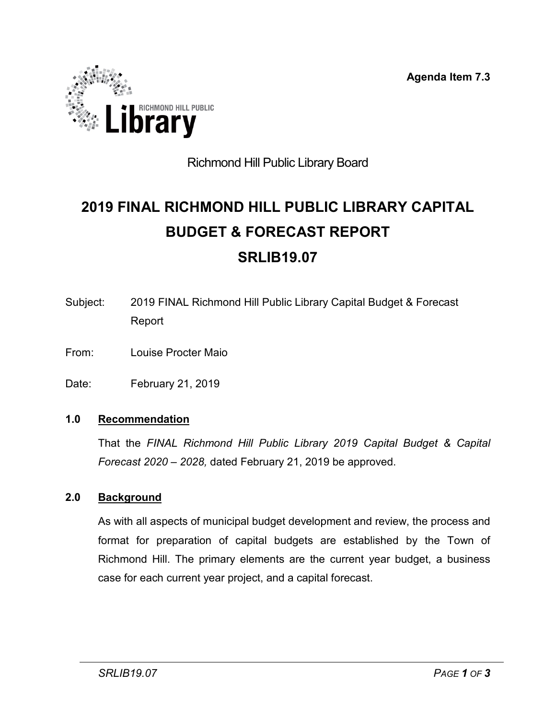**Agenda Item 7.3**

<span id="page-29-0"></span>

### Richmond Hill Public Library Board

# **2019 FINAL RICHMOND HILL PUBLIC LIBRARY CAPITAL BUDGET & FORECAST REPORT SRLIB19.07**

- Subject: 2019 FINAL Richmond Hill Public Library Capital Budget & Forecast Report
- From: Louise Procter Maio

Date: February 21, 2019

#### **1.0 Recommendation**

That the *FINAL Richmond Hill Public Library 2019 Capital Budget & Capital Forecast 2020 – 2028,* dated February 21, 2019 be approved.

#### **2.0 Background**

As with all aspects of municipal budget development and review, the process and format for preparation of capital budgets are established by the Town of Richmond Hill. The primary elements are the current year budget, a business case for each current year project, and a capital forecast.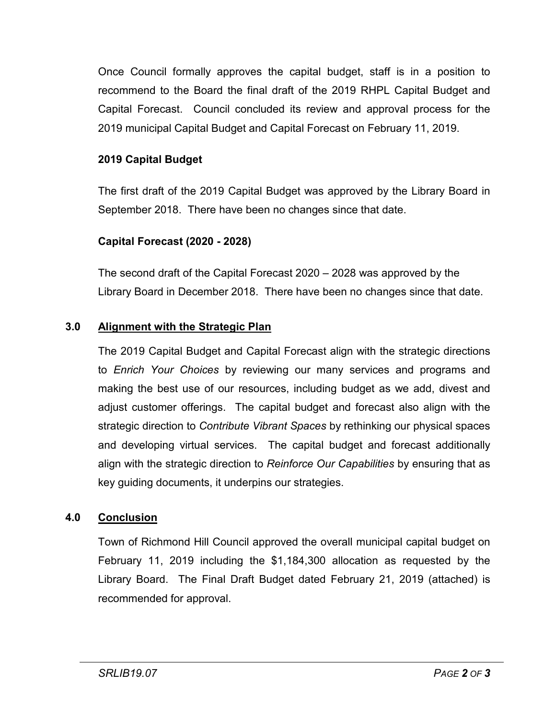Once Council formally approves the capital budget, staff is in a position to recommend to the Board the final draft of the 2019 RHPL Capital Budget and Capital Forecast. Council concluded its review and approval process for the 2019 municipal Capital Budget and Capital Forecast on February 11, 2019.

#### **2019 Capital Budget**

The first draft of the 2019 Capital Budget was approved by the Library Board in September 2018. There have been no changes since that date.

#### **Capital Forecast (2020 - 2028)**

The second draft of the Capital Forecast 2020 – 2028 was approved by the Library Board in December 2018. There have been no changes since that date.

#### **3.0 Alignment with the Strategic Plan**

The 2019 Capital Budget and Capital Forecast align with the strategic directions to *Enrich Your Choices* by reviewing our many services and programs and making the best use of our resources, including budget as we add, divest and adjust customer offerings. The capital budget and forecast also align with the strategic direction to *Contribute Vibrant Spaces* by rethinking our physical spaces and developing virtual services. The capital budget and forecast additionally align with the strategic direction to *Reinforce Our Capabilities* by ensuring that as key guiding documents, it underpins our strategies.

#### **4.0 Conclusion**

Town of Richmond Hill Council approved the overall municipal capital budget on February 11, 2019 including the \$1,184,300 allocation as requested by the Library Board. The Final Draft Budget dated February 21, 2019 (attached) is recommended for approval.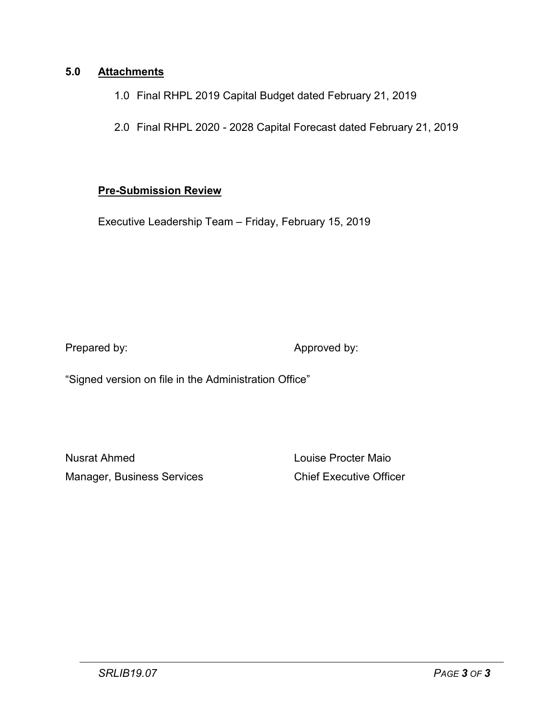#### **5.0 Attachments**

- 1.0 Final RHPL 2019 Capital Budget dated February 21, 2019
- 2.0 Final RHPL 2020 2028 Capital Forecast dated February 21, 2019

#### **Pre-Submission Review**

Executive Leadership Team – Friday, February 15, 2019

Prepared by: Approved by:

"Signed version on file in the Administration Office"

Nusrat Ahmed Louise Procter Maio Manager, Business Services **Chief Executive Officer**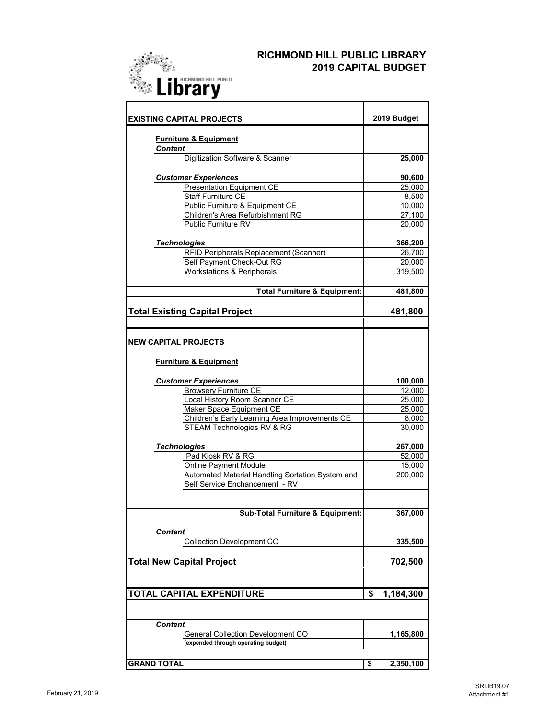

#### **RICHMOND HILL PUBLIC LIBRARY 2019 CAPITAL BUDGET**

| <b>IEXISTING CAPITAL PROJECTS</b>                                                  | 2019 Budget     |
|------------------------------------------------------------------------------------|-----------------|
| <b>Furniture &amp; Equipment</b><br><b>Content</b>                                 |                 |
| Digitization Software & Scanner                                                    | 25,000          |
|                                                                                    |                 |
| <b>Customer Experiences</b>                                                        | 90,600          |
| <b>Presentation Equipment CE</b>                                                   | 25,000          |
| <b>Staff Furniture CE</b>                                                          | 8,500           |
| Public Furniture & Equipment CE                                                    | 10,000          |
| Children's Area Refurbishment RG                                                   | 27,100          |
| Public Furniture RV                                                                | 20,000          |
| <b>Technologies</b>                                                                | 366,200         |
| RFID Peripherals Replacement (Scanner)                                             | 26,700          |
| Self Payment Check-Out RG                                                          | 20,000          |
| <b>Workstations &amp; Peripherals</b>                                              | 319,500         |
|                                                                                    |                 |
| <b>Total Furniture &amp; Equipment:</b>                                            | 481,800         |
| <b>Total Existing Capital Project</b>                                              | 481,800         |
|                                                                                    |                 |
| <b>NEW CAPITAL PROJECTS</b>                                                        |                 |
| <b>Furniture &amp; Equipment</b>                                                   |                 |
| <b>Customer Experiences</b>                                                        | 100,000         |
| <b>Browsery Furniture CE</b>                                                       | 12,000          |
| Local History Room Scanner CE                                                      | 25,000          |
| Maker Space Equipment CE                                                           | 25,000          |
| Children's Early Learning Area Improvements CE                                     | 8,000           |
| STEAM Technologies RV & RG                                                         | 30,000          |
|                                                                                    |                 |
| <b>Technologies</b>                                                                | 267,000         |
| iPad Kiosk RV & RG                                                                 | 52,000          |
| <b>Online Payment Module</b>                                                       | 15,000          |
| Automated Material Handling Sortation System and<br>Self Service Enchancement - RV | 200,000         |
|                                                                                    |                 |
| Sub-Total Furniture & Equipment:                                                   | 367,000         |
| <b>Content</b>                                                                     |                 |
| <b>Collection Development CO</b>                                                   | 335,500         |
|                                                                                    |                 |
| <b>Total New Capital Project</b>                                                   | 702,500         |
|                                                                                    |                 |
| <b>TOTAL CAPITAL EXPENDITURE</b>                                                   | \$<br>1,184,300 |
|                                                                                    |                 |
| <b>Content</b>                                                                     |                 |
| General Collection Development CO                                                  | 1,165,800       |
| (expended through operating budget)                                                |                 |
|                                                                                    |                 |
| <b>GRAND TOTAL</b>                                                                 | \$<br>2,350,100 |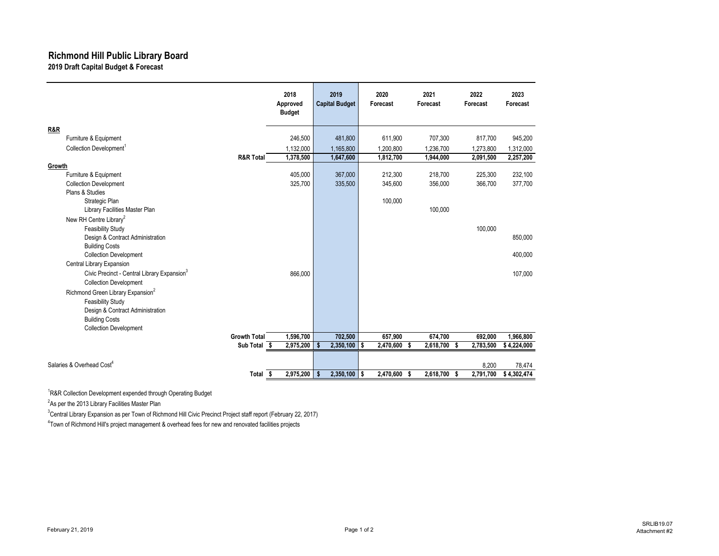#### **Richmond Hill Public Library Board 2019 Draft Capital Budget & Forecast**

|                                                         |                      | 2018<br>Approved<br><b>Budget</b> | 2019<br><b>Capital Budget</b> |                | 2020<br>Forecast | 2021<br>Forecast | 2022<br>Forecast | 2023<br>Forecast |
|---------------------------------------------------------|----------------------|-----------------------------------|-------------------------------|----------------|------------------|------------------|------------------|------------------|
| R&R                                                     |                      |                                   |                               |                |                  |                  |                  |                  |
| Furniture & Equipment                                   |                      | 246,500                           |                               | 481,800        | 611,900          | 707,300          | 817,700          | 945,200          |
| Collection Development <sup>1</sup>                     |                      | 1,132,000                         |                               | 1,165,800      | 1,200,800        | 1,236,700        | 1,273,800        | 1,312,000        |
|                                                         | <b>R&amp;R Total</b> | 1,378,500                         |                               | 1,647,600      | 1,812,700        | 1,944,000        | 2,091,500        | 2,257,200        |
| Growth                                                  |                      |                                   |                               |                |                  |                  |                  |                  |
| Furniture & Equipment                                   |                      | 405,000                           |                               | 367,000        | 212,300          | 218,700          | 225,300          | 232,100          |
| <b>Collection Development</b>                           |                      | 325,700                           |                               | 335,500        | 345,600          | 356,000          | 366,700          | 377,700          |
| Plans & Studies                                         |                      |                                   |                               |                |                  |                  |                  |                  |
| Strategic Plan                                          |                      |                                   |                               |                | 100,000          |                  |                  |                  |
| Library Facilities Master Plan                          |                      |                                   |                               |                |                  | 100,000          |                  |                  |
| New RH Centre Library <sup>2</sup>                      |                      |                                   |                               |                |                  |                  |                  |                  |
| <b>Feasibility Study</b>                                |                      |                                   |                               |                |                  |                  | 100,000          |                  |
| Design & Contract Administration                        |                      |                                   |                               |                |                  |                  |                  | 850,000          |
| <b>Building Costs</b>                                   |                      |                                   |                               |                |                  |                  |                  |                  |
| <b>Collection Development</b>                           |                      |                                   |                               |                |                  |                  |                  | 400,000          |
| Central Library Expansion                               |                      |                                   |                               |                |                  |                  |                  |                  |
| Civic Precinct - Central Library Expansion <sup>3</sup> |                      | 866,000                           |                               |                |                  |                  |                  | 107,000          |
| <b>Collection Development</b>                           |                      |                                   |                               |                |                  |                  |                  |                  |
| Richmond Green Library Expansion <sup>2</sup>           |                      |                                   |                               |                |                  |                  |                  |                  |
| <b>Feasibility Study</b>                                |                      |                                   |                               |                |                  |                  |                  |                  |
| Design & Contract Administration                        |                      |                                   |                               |                |                  |                  |                  |                  |
| <b>Building Costs</b>                                   |                      |                                   |                               |                |                  |                  |                  |                  |
| <b>Collection Development</b>                           |                      |                                   |                               |                |                  |                  |                  |                  |
|                                                         | <b>Growth Total</b>  | 1,596,700                         |                               | 702,500        | 657.900          | 674,700          | 692,000          | 1.966.800        |
|                                                         | Sub Total \$         | 2,975,200                         | Ŝ.                            | 2,350,100      | 2,470,600<br>s.  | 2,618,700<br>s.  | 2,783,500<br>-S  | \$4,224,000      |
|                                                         |                      |                                   |                               |                |                  |                  |                  |                  |
| Salaries & Overhead Cost <sup>4</sup>                   |                      |                                   |                               |                |                  |                  | 8.200            | 78,474           |
|                                                         | Total                | 2,975,200<br>-\$                  | \$                            | $2,350,100$ \$ | 2,470,600 \$     | 2,618,700 \$     | 2,791,700        | \$4,302,474      |

<sup>1</sup>R&R Collection Development expended through Operating Budget

<sup>2</sup>As per the 2013 Library Facilities Master Plan

<sup>3</sup>Central Library Expansion as per Town of Richmond Hill Civic Precinct Project staff report (February 22, 2017)

4 Town of Richmond Hill's project management & overhead fees for new and renovated facilities projects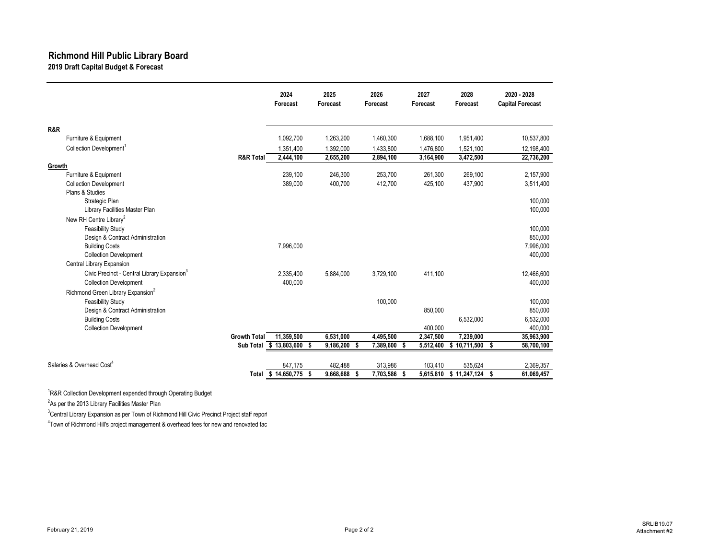#### **Richmond Hill Public Library Board 2019 Draft Capital Budget & Forecast**

|                                                         |                      | 2024<br>Forecast     | 2025<br>Forecast | 2026<br>Forecast | 2027<br>Forecast | 2028<br>Forecast | 2020 - 2028<br><b>Capital Forecast</b> |
|---------------------------------------------------------|----------------------|----------------------|------------------|------------------|------------------|------------------|----------------------------------------|
| R&R                                                     |                      |                      |                  |                  |                  |                  |                                        |
| Furniture & Equipment                                   |                      | 1,092,700            | 1,263,200        | 1,460,300        | 1,688,100        | 1,951,400        | 10,537,800                             |
| Collection Development <sup>1</sup>                     |                      | 1,351,400            | 1,392,000        | 1,433,800        | 1,476,800        | 1,521,100        | 12,198,400                             |
|                                                         | <b>R&amp;R Total</b> | 2,444,100            | 2,655,200        | 2,894,100        | 3,164,900        | 3,472,500        | 22,736,200                             |
| Growth                                                  |                      |                      |                  |                  |                  |                  |                                        |
| Furniture & Equipment                                   |                      | 239,100              | 246,300          | 253,700          | 261,300          | 269,100          | 2,157,900                              |
| <b>Collection Development</b>                           |                      | 389,000              | 400,700          | 412,700          | 425,100          | 437,900          | 3,511,400                              |
| Plans & Studies                                         |                      |                      |                  |                  |                  |                  |                                        |
| Strategic Plan                                          |                      |                      |                  |                  |                  |                  | 100.000                                |
| Library Facilities Master Plan                          |                      |                      |                  |                  |                  |                  | 100,000                                |
| New RH Centre Library <sup>2</sup>                      |                      |                      |                  |                  |                  |                  |                                        |
| <b>Feasibility Study</b>                                |                      |                      |                  |                  |                  |                  | 100.000                                |
| Design & Contract Administration                        |                      |                      |                  |                  |                  |                  | 850,000                                |
| <b>Building Costs</b><br><b>Collection Development</b>  |                      | 7,996,000            |                  |                  |                  |                  | 7,996,000<br>400,000                   |
| Central Library Expansion                               |                      |                      |                  |                  |                  |                  |                                        |
| Civic Precinct - Central Library Expansion <sup>3</sup> |                      |                      |                  |                  |                  |                  | 12.466.600                             |
| <b>Collection Development</b>                           |                      | 2.335.400<br>400.000 | 5.884.000        | 3.729.100        | 411.100          |                  | 400,000                                |
| Richmond Green Library Expansion <sup>2</sup>           |                      |                      |                  |                  |                  |                  |                                        |
| <b>Feasibility Study</b>                                |                      |                      |                  | 100,000          |                  |                  | 100,000                                |
| Design & Contract Administration                        |                      |                      |                  |                  | 850,000          |                  | 850,000                                |
| <b>Building Costs</b>                                   |                      |                      |                  |                  |                  | 6,532,000        | 6,532,000                              |
| <b>Collection Development</b>                           |                      |                      |                  |                  | 400,000          |                  | 400.000                                |
|                                                         | <b>Growth Total</b>  | 11,359,500           | 6,531,000        | 4,495,500        | 2,347,500        | 7,239,000        | 35,963,900                             |
|                                                         | Sub Total            | \$13,803,600<br>S.   | 9,186,200 \$     | 7,389,600 \$     | 5,512,400        | $$10,711,500$ \$ | 58,700,100                             |
|                                                         |                      |                      |                  |                  |                  |                  |                                        |
| Salaries & Overhead Cost <sup>4</sup>                   |                      | 847,175              | 482,488          | 313,986          | 103,410          | 535,624          | 2,369,357                              |
|                                                         | Total                | $$14,650,775$ \$     | 9,668,688 \$     | 7,703,586 \$     | 5,615,810        | $$11,247,124$ \$ | 61,069,457                             |

<sup>1</sup>R&R Collection Development expended through Operating Budget

<sup>2</sup>As per the 2013 Library Facilities Master Plan

<sup>3</sup>Central Library Expansion as per Town of Richmond Hill Civic Precinct Project staff report

4 Town of Richmond Hill's project management & overhead fees for new and renovated fac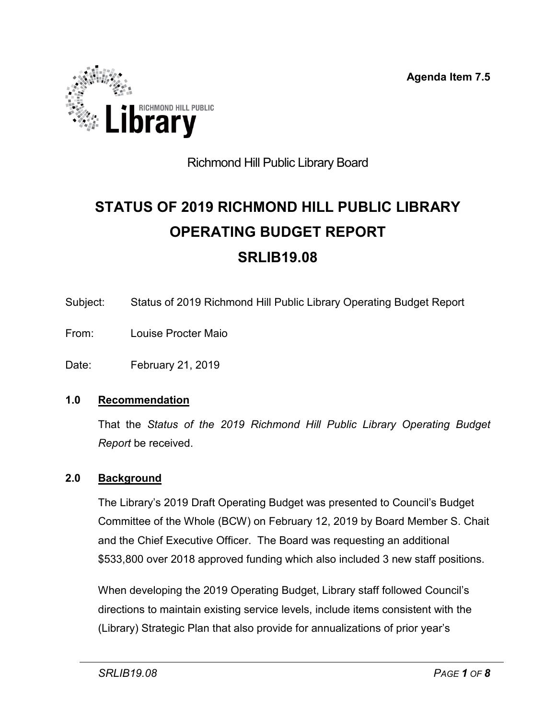**Agenda Item 7.5**



### Richmond Hill Public Library Board

# **STATUS OF 2019 RICHMOND HILL PUBLIC LIBRARY OPERATING BUDGET REPORT SRLIB19.08**

- Subject: Status of 2019 Richmond Hill Public Library Operating Budget Report
- From: Louise Procter Maio
- Date: February 21, 2019

#### **1.0 Recommendation**

That the *Status of the 2019 Richmond Hill Public Library Operating Budget Report* be received.

#### **2.0 Background**

The Library's 2019 Draft Operating Budget was presented to Council's Budget Committee of the Whole (BCW) on February 12, 2019 by Board Member S. Chait and the Chief Executive Officer. The Board was requesting an additional \$533,800 over 2018 approved funding which also included 3 new staff positions.

When developing the 2019 Operating Budget, Library staff followed Council's directions to maintain existing service levels, include items consistent with the (Library) Strategic Plan that also provide for annualizations of prior year's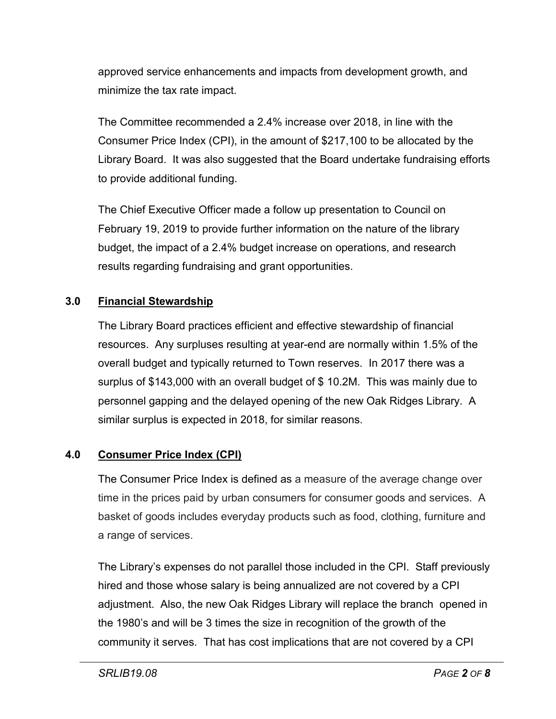approved service enhancements and impacts from development growth, and minimize the tax rate impact.

The Committee recommended a 2.4% increase over 2018, in line with the Consumer Price Index (CPI), in the amount of \$217,100 to be allocated by the Library Board. It was also suggested that the Board undertake fundraising efforts to provide additional funding.

The Chief Executive Officer made a follow up presentation to Council on February 19, 2019 to provide further information on the nature of the library budget, the impact of a 2.4% budget increase on operations, and research results regarding fundraising and grant opportunities.

#### **3.0 Financial Stewardship**

The Library Board practices efficient and effective stewardship of financial resources. Any surpluses resulting at year-end are normally within 1.5% of the overall budget and typically returned to Town reserves. In 2017 there was a surplus of \$143,000 with an overall budget of \$ 10.2M. This was mainly due to personnel gapping and the delayed opening of the new Oak Ridges Library. A similar surplus is expected in 2018, for similar reasons.

#### **4.0 Consumer Price Index (CPI)**

The Consumer Price Index is defined as a measure of the average change over time in the prices paid by urban consumers for consumer goods and services. A basket of goods includes everyday products such as food, clothing, furniture and a range of services.

The Library's expenses do not parallel those included in the CPI. Staff previously hired and those whose salary is being annualized are not covered by a CPI adjustment. Also, the new Oak Ridges Library will replace the branch opened in the 1980's and will be 3 times the size in recognition of the growth of the community it serves. That has cost implications that are not covered by a CPI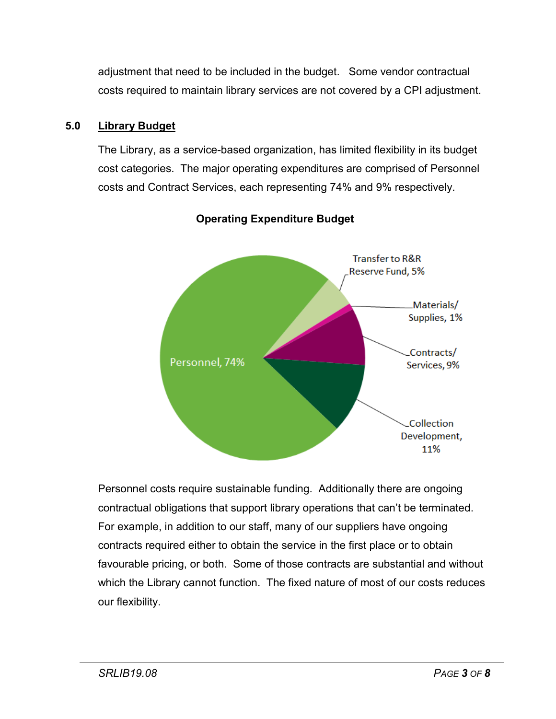adjustment that need to be included in the budget. Some vendor contractual costs required to maintain library services are not covered by a CPI adjustment.

#### **5.0 Library Budget**

The Library, as a service-based organization, has limited flexibility in its budget cost categories. The major operating expenditures are comprised of Personnel costs and Contract Services, each representing 74% and 9% respectively.



#### **Operating Expenditure Budget**

Personnel costs require sustainable funding. Additionally there are ongoing contractual obligations that support library operations that can't be terminated. For example, in addition to our staff, many of our suppliers have ongoing contracts required either to obtain the service in the first place or to obtain favourable pricing, or both. Some of those contracts are substantial and without which the Library cannot function. The fixed nature of most of our costs reduces our flexibility.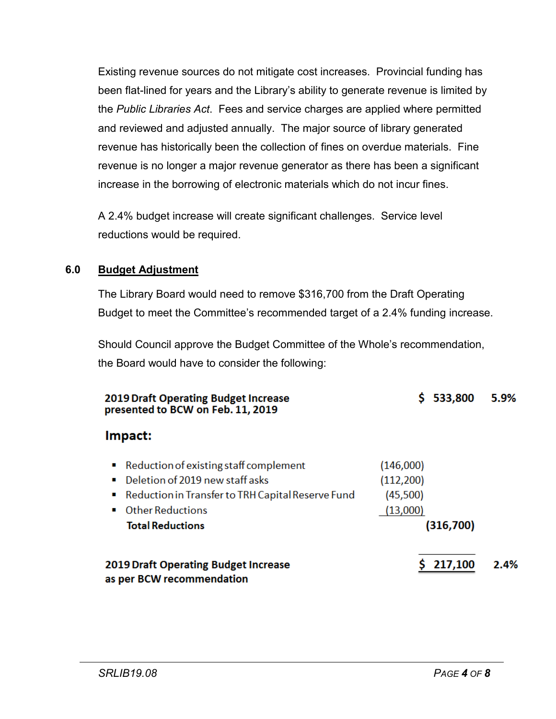Existing revenue sources do not mitigate cost increases. Provincial funding has been flat-lined for years and the Library's ability to generate revenue is limited by the *Public Libraries Act*. Fees and service charges are applied where permitted and reviewed and adjusted annually. The major source of library generated revenue has historically been the collection of fines on overdue materials. Fine revenue is no longer a major revenue generator as there has been a significant increase in the borrowing of electronic materials which do not incur fines.

A 2.4% budget increase will create significant challenges. Service level reductions would be required.

#### **6.0 Budget Adjustment**

The Library Board would need to remove \$316,700 from the Draft Operating Budget to meet the Committee's recommended target of a 2.4% funding increase.

Should Council approve the Budget Committee of the Whole's recommendation, the Board would have to consider the following:

| <b>2019 Draft Operating Budget Increase</b><br>presented to BCW on Feb. 11, 2019                                                                                                       | 533,800                                                      | 5.9% |
|----------------------------------------------------------------------------------------------------------------------------------------------------------------------------------------|--------------------------------------------------------------|------|
| Impact:                                                                                                                                                                                |                                                              |      |
| Reduction of existing staff complement<br>Deletion of 2019 new staff asks<br>■ Reduction in Transfer to TRH Capital Reserve Fund<br><b>Other Reductions</b><br><b>Total Reductions</b> | (146,000)<br>(112, 200)<br>(45,500)<br>(13,000)<br>(316,700) |      |
| <b>2019 Draft Operating Budget Increase</b><br>as per BCW recommendation                                                                                                               | 217,100                                                      | 2.4% |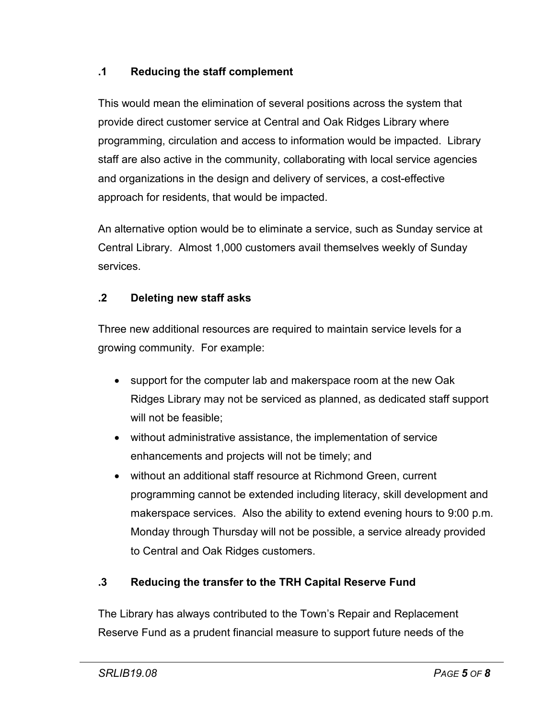#### **.1 Reducing the staff complement**

This would mean the elimination of several positions across the system that provide direct customer service at Central and Oak Ridges Library where programming, circulation and access to information would be impacted. Library staff are also active in the community, collaborating with local service agencies and organizations in the design and delivery of services, a cost-effective approach for residents, that would be impacted.

An alternative option would be to eliminate a service, such as Sunday service at Central Library. Almost 1,000 customers avail themselves weekly of Sunday services.

#### **.2 Deleting new staff asks**

Three new additional resources are required to maintain service levels for a growing community. For example:

- support for the computer lab and makerspace room at the new Oak Ridges Library may not be serviced as planned, as dedicated staff support will not be feasible;
- without administrative assistance, the implementation of service enhancements and projects will not be timely; and
- without an additional staff resource at Richmond Green, current programming cannot be extended including literacy, skill development and makerspace services. Also the ability to extend evening hours to 9:00 p.m. Monday through Thursday will not be possible, a service already provided to Central and Oak Ridges customers.

#### **.3 Reducing the transfer to the TRH Capital Reserve Fund**

The Library has always contributed to the Town's Repair and Replacement Reserve Fund as a prudent financial measure to support future needs of the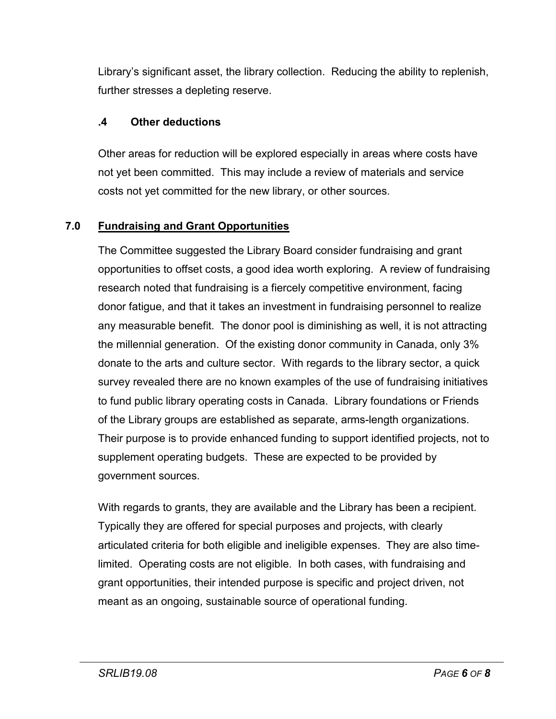Library's significant asset, the library collection. Reducing the ability to replenish, further stresses a depleting reserve.

#### **.4 Other deductions**

Other areas for reduction will be explored especially in areas where costs have not yet been committed. This may include a review of materials and service costs not yet committed for the new library, or other sources.

#### **7.0 Fundraising and Grant Opportunities**

The Committee suggested the Library Board consider fundraising and grant opportunities to offset costs, a good idea worth exploring. A review of fundraising research noted that fundraising is a fiercely competitive environment, facing donor fatigue, and that it takes an investment in fundraising personnel to realize any measurable benefit. The donor pool is diminishing as well, it is not attracting the millennial generation. Of the existing donor community in Canada, only 3% donate to the arts and culture sector. With regards to the library sector, a quick survey revealed there are no known examples of the use of fundraising initiatives to fund public library operating costs in Canada. Library foundations or Friends of the Library groups are established as separate, arms-length organizations. Their purpose is to provide enhanced funding to support identified projects, not to supplement operating budgets. These are expected to be provided by government sources.

With regards to grants, they are available and the Library has been a recipient. Typically they are offered for special purposes and projects, with clearly articulated criteria for both eligible and ineligible expenses. They are also timelimited. Operating costs are not eligible. In both cases, with fundraising and grant opportunities, their intended purpose is specific and project driven, not meant as an ongoing, sustainable source of operational funding.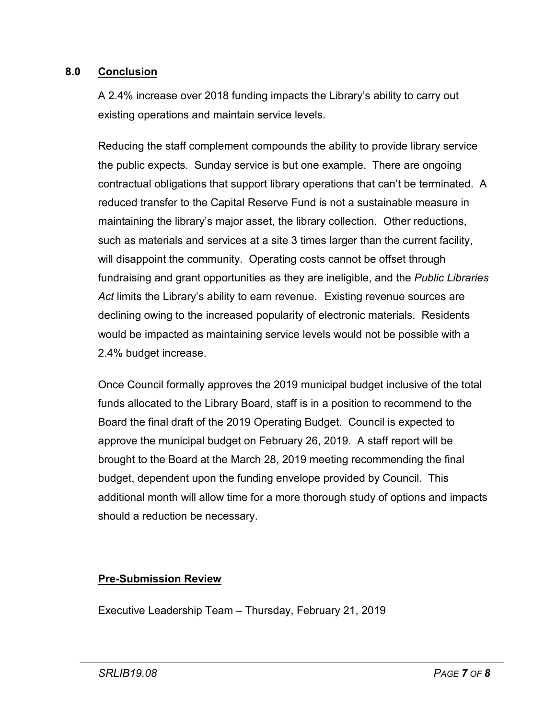#### **8.0 Conclusion**

A 2.4% increase over 2018 funding impacts the Library's ability to carry out existing operations and maintain service levels.

Reducing the staff complement compounds the ability to provide library service the public expects. Sunday service is but one example. There are ongoing contractual obligations that support library operations that can't be terminated. A reduced transfer to the Capital Reserve Fund is not a sustainable measure in maintaining the library's major asset, the library collection. Other reductions, such as materials and services at a site 3 times larger than the current facility, will disappoint the community. Operating costs cannot be offset through fundraising and grant opportunities as they are ineligible, and the *Public Libraries Act* limits the Library's ability to earn revenue. Existing revenue sources are declining owing to the increased popularity of electronic materials. Residents would be impacted as maintaining service levels would not be possible with a 2.4% budget increase.

Once Council formally approves the 2019 municipal budget inclusive of the total funds allocated to the Library Board, staff is in a position to recommend to the Board the final draft of the 2019 Operating Budget. Council is expected to approve the municipal budget on February 26, 2019. A staff report will be brought to the Board at the March 28, 2019 meeting recommending the final budget, dependent upon the funding envelope provided by Council. This additional month will allow time for a more thorough study of options and impacts should a reduction be necessary.

#### **Pre-Submission Review**

Executive Leadership Team – Thursday, February 21, 2019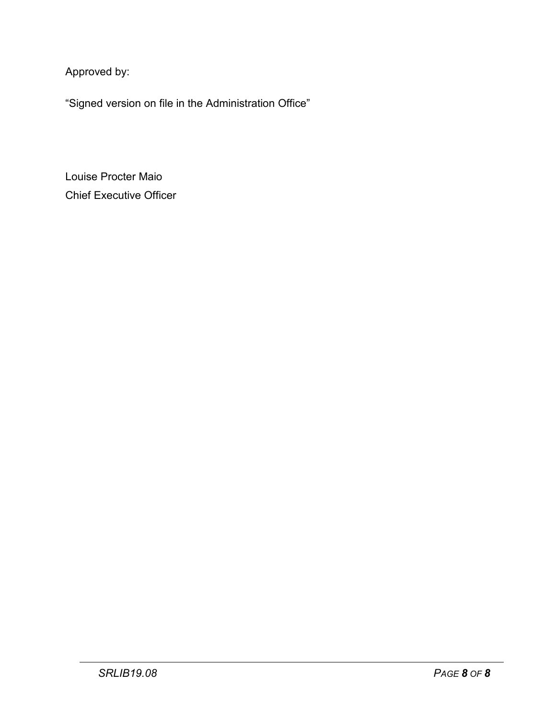Approved by:

"Signed version on file in the Administration Office"

Louise Procter Maio Chief Executive Officer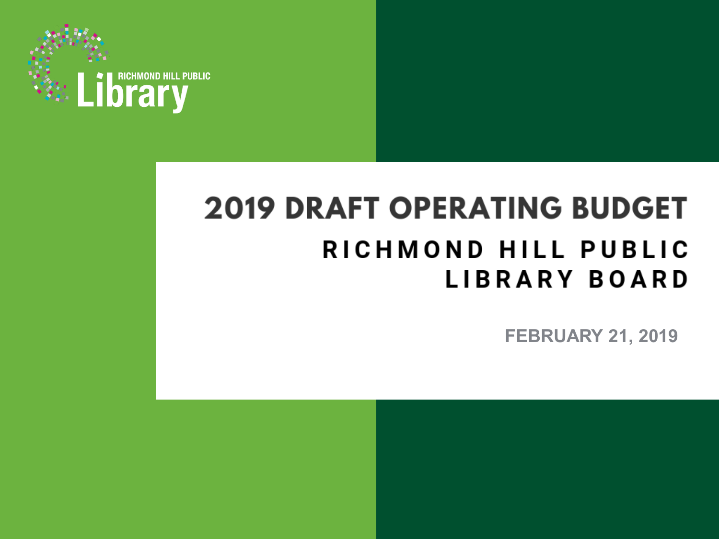

# **2019 DRAFT OPERATING BUDGET** RICHMOND HILL PUBLIC **LIBRARY BOARD**

**FEBRUARY 21, 2019**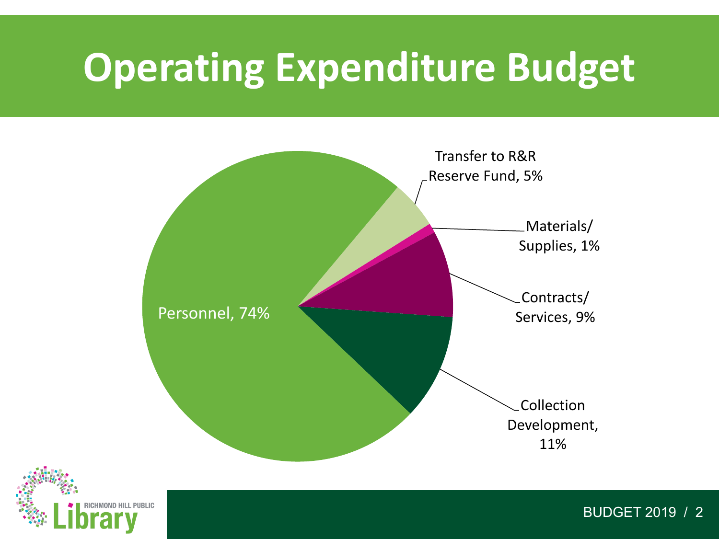# **Operating Expenditure Budget**





BUDGET 2019 / 2